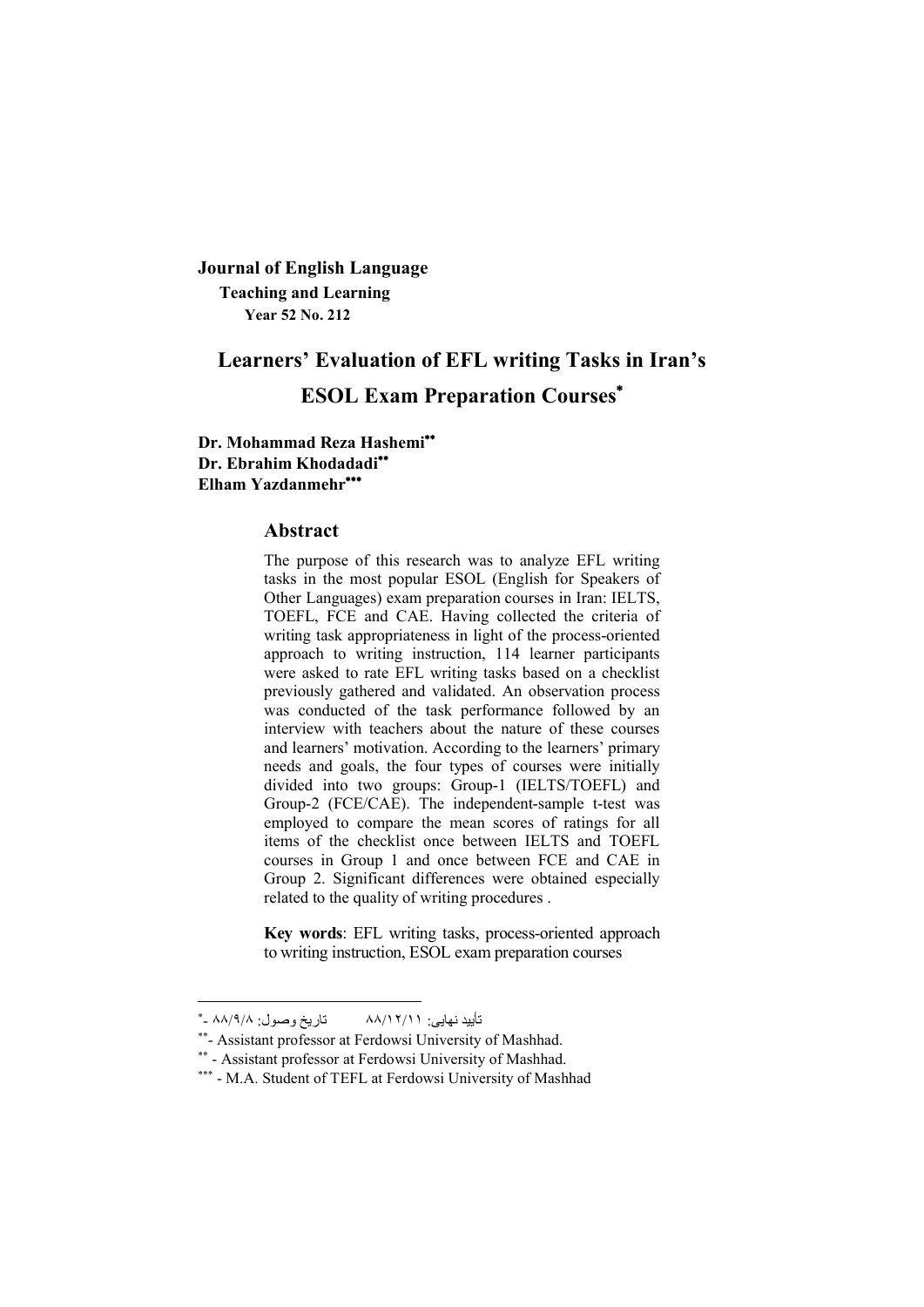**Journal of English Language Teaching and Learning Year 52 No. 212**

# **Learners' Evaluation of EFL writing Tasks in Iran's ESOL Exam Preparation Courses**

**Dr. Mohammad Reza Hashemi Dr. Ebrahim Khodadadi Elham Yazdanmehr**

### **Abstract**

The purpose of this research was to analyze EFL writing tasks in the most popular ESOL (English for Speakers of Other Languages) exam preparation courses in Iran: IELTS, TOEFL, FCE and CAE. Having collected the criteria of writing task appropriateness in light of the process-oriented approach to writing instruction, 114 learner participants were asked to rate EFL writing tasks based on a checklist previously gathered and validated. An observation process was conducted of the task performance followed by an interview with teachers about the nature of these courses and learners' motivation. According to the learners' primary needs and goals, the four types of courses were initially divided into two groups: Group-1 (IELTS/TOEFL) and Group-2 (FCE/CAE). The independent-sample t-test was employed to compare the mean scores of ratings for all items of the checklist once between IELTS and TOEFL courses in Group 1 and once between FCE and CAE in Group 2. Significant differences were obtained especially related to the quality of writing procedures .

**Key words**: EFL writing tasks, process-oriented approach to writing instruction, ESOL exam preparation courses

 - ٨٨ ٨/٩/ :وصول تاریخ ٨٨/١٢/١١ :نھایی تأیید

<sup>\*\*-</sup> Assistant professor at Ferdowsi University of Mashhad.

<sup>\*\* -</sup> Assistant professor at Ferdowsi University of Mashhad.

<sup>\*\*\* -</sup> M.A. Student of TEFL at Ferdowsi University of Mashhad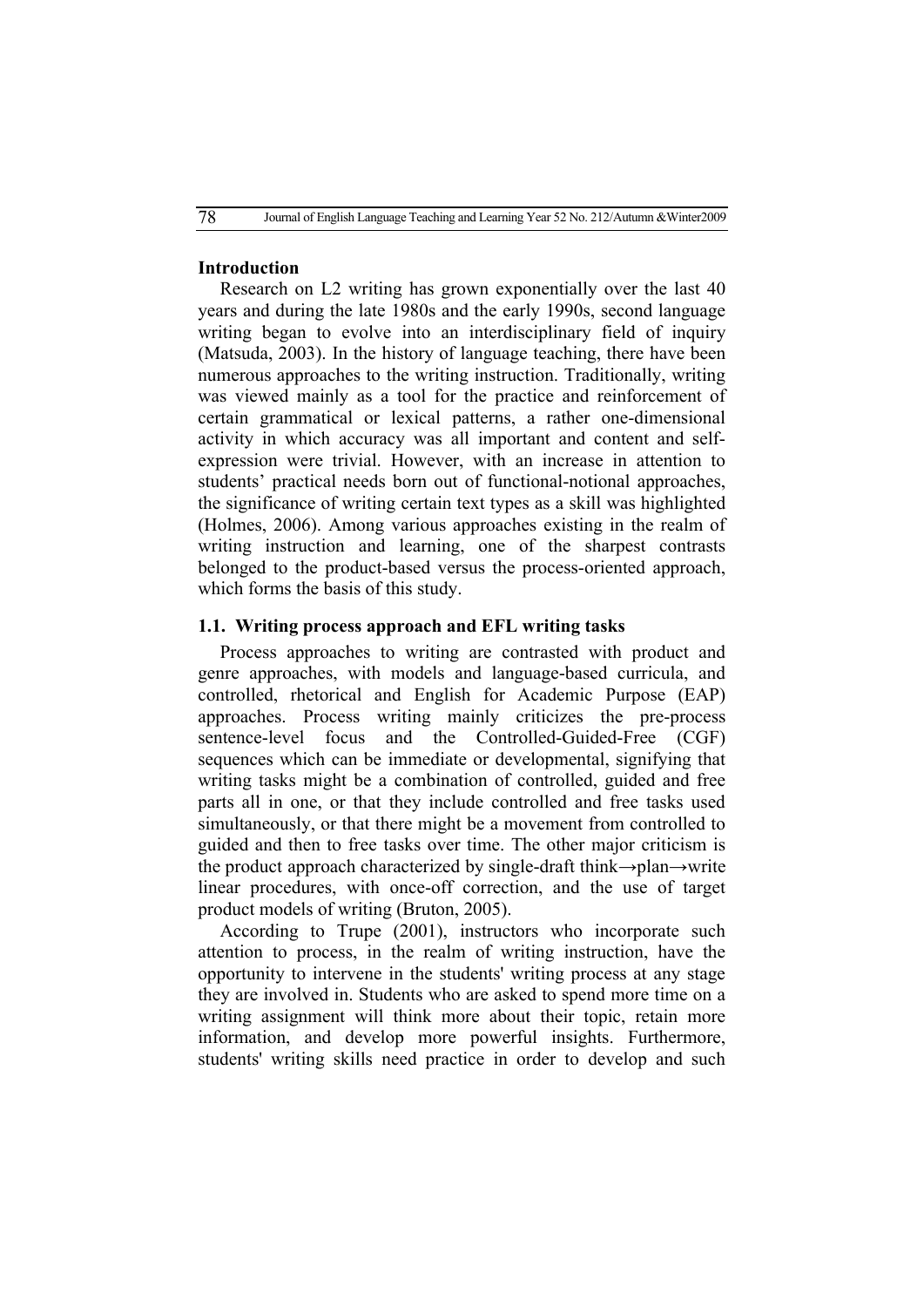# **Introduction**

Research on L2 writing has grown exponentially over the last 40 years and during the late 1980s and the early 1990s, second language writing began to evolve into an interdisciplinary field of inquiry (Matsuda, 2003). In the history of language teaching, there have been numerous approaches to the writing instruction. Traditionally, writing was viewed mainly as a tool for the practice and reinforcement of certain grammatical or lexical patterns, a rather one-dimensional activity in which accuracy was all important and content and selfexpression were trivial. However, with an increase in attention to students' practical needs born out of functional-notional approaches, the significance of writing certain text types as a skill was highlighted (Holmes, 2006). Among various approaches existing in the realm of writing instruction and learning, one of the sharpest contrasts belonged to the product-based versus the process-oriented approach, which forms the basis of this study.

## **1.1. Writing process approach and EFL writing tasks**

Process approaches to writing are contrasted with product and genre approaches, with models and language-based curricula, and controlled, rhetorical and English for Academic Purpose (EAP) approaches. Process writing mainly criticizes the pre-process sentence-level focus and the Controlled-Guided-Free (CGF) sequences which can be immediate or developmental, signifying that writing tasks might be a combination of controlled, guided and free parts all in one, or that they include controlled and free tasks used simultaneously, or that there might be a movement from controlled to guided and then to free tasks over time. The other major criticism is the product approach characterized by single-draft think→plan→write linear procedures, with once-off correction, and the use of target product models of writing (Bruton, 2005).

According to Trupe (2001), instructors who incorporate such attention to process, in the realm of writing instruction, have the opportunity to intervene in the students' writing process at any stage they are involved in. Students who are asked to spend more time on a writing assignment will think more about their topic, retain more information, and develop more powerful insights. Furthermore, students' writing skills need practice in order to develop and such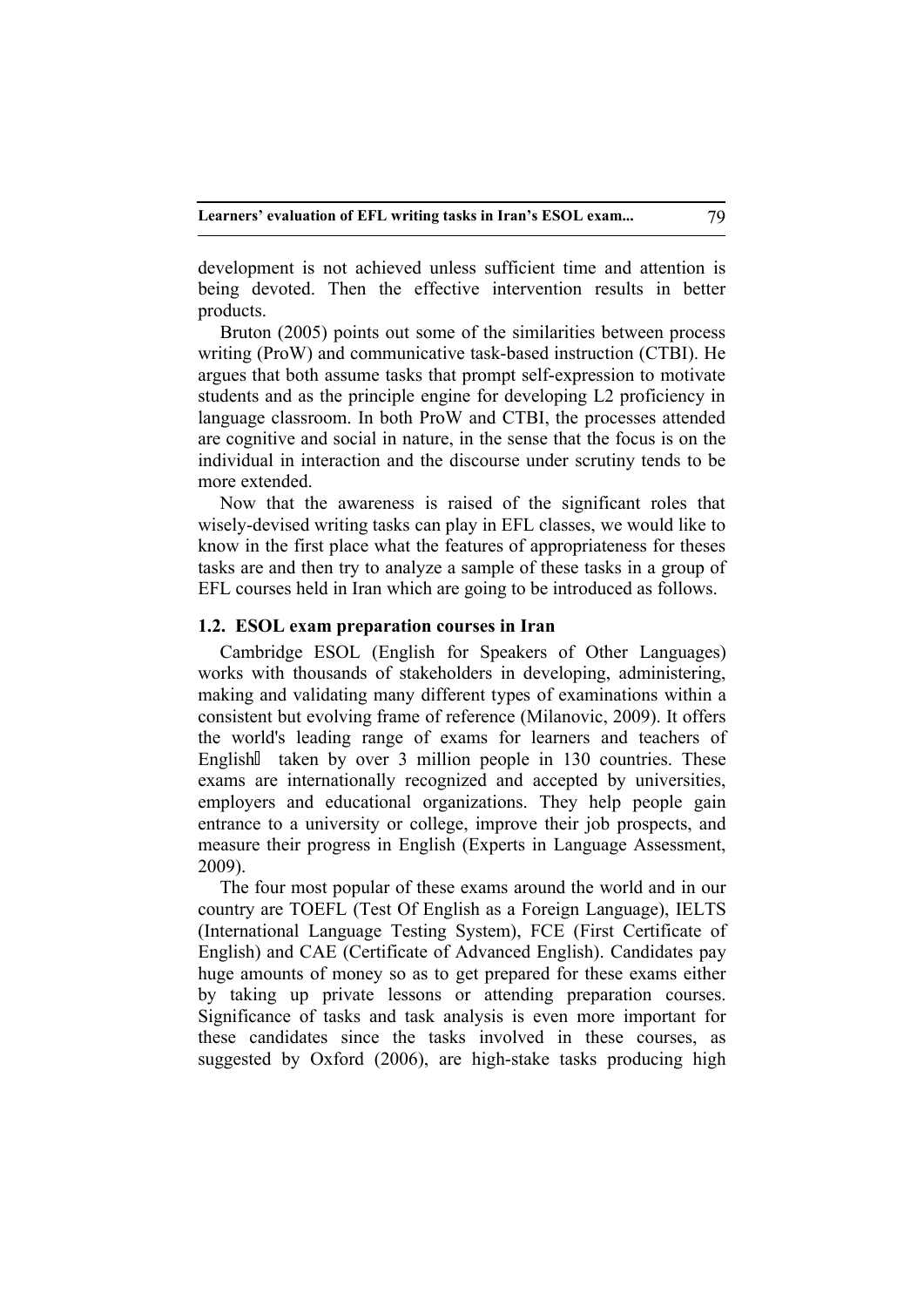development is not achieved unless sufficient time and attention is being devoted. Then the effective intervention results in better products.

Bruton (2005) points out some of the similarities between process writing (ProW) and communicative task-based instruction (CTBI). He argues that both assume tasks that prompt self-expression to motivate students and as the principle engine for developing L2 proficiency in language classroom. In both ProW and CTBI, the processes attended are cognitive and social in nature, in the sense that the focus is on the individual in interaction and the discourse under scrutiny tends to be more extended.

Now that the awareness is raised of the significant roles that wisely-devised writing tasks can play in EFL classes, we would like to know in the first place what the features of appropriateness for theses tasks are and then try to analyze a sample of these tasks in a group of EFL courses held in Iran which are going to be introduced as follows.

#### **1.2. ESOL exam preparation courses in Iran**

Cambridge ESOL (English for Speakers of Other Languages) works with thousands of stakeholders in developing, administering, making and validating many different types of examinations within a consistent but evolving frame of reference (Milanovic, 2009). It offers the world's leading range of exams for learners and teachers of English taken by over 3 million people in 130 countries. These exams are internationally recognized and accepted by universities, employers and educational organizations. They help people gain entrance to a university or college, improve their job prospects, and measure their progress in English (Experts in Language Assessment, 2009).

The four most popular of these exams around the world and in our country are TOEFL (Test Of English as a Foreign Language), IELTS (International Language Testing System), FCE (First Certificate of English) and CAE (Certificate of Advanced English). Candidates pay huge amounts of money so as to get prepared for these exams either by taking up private lessons or attending preparation courses. Significance of tasks and task analysis is even more important for these candidates since the tasks involved in these courses, as suggested by Oxford (2006), are high-stake tasks producing high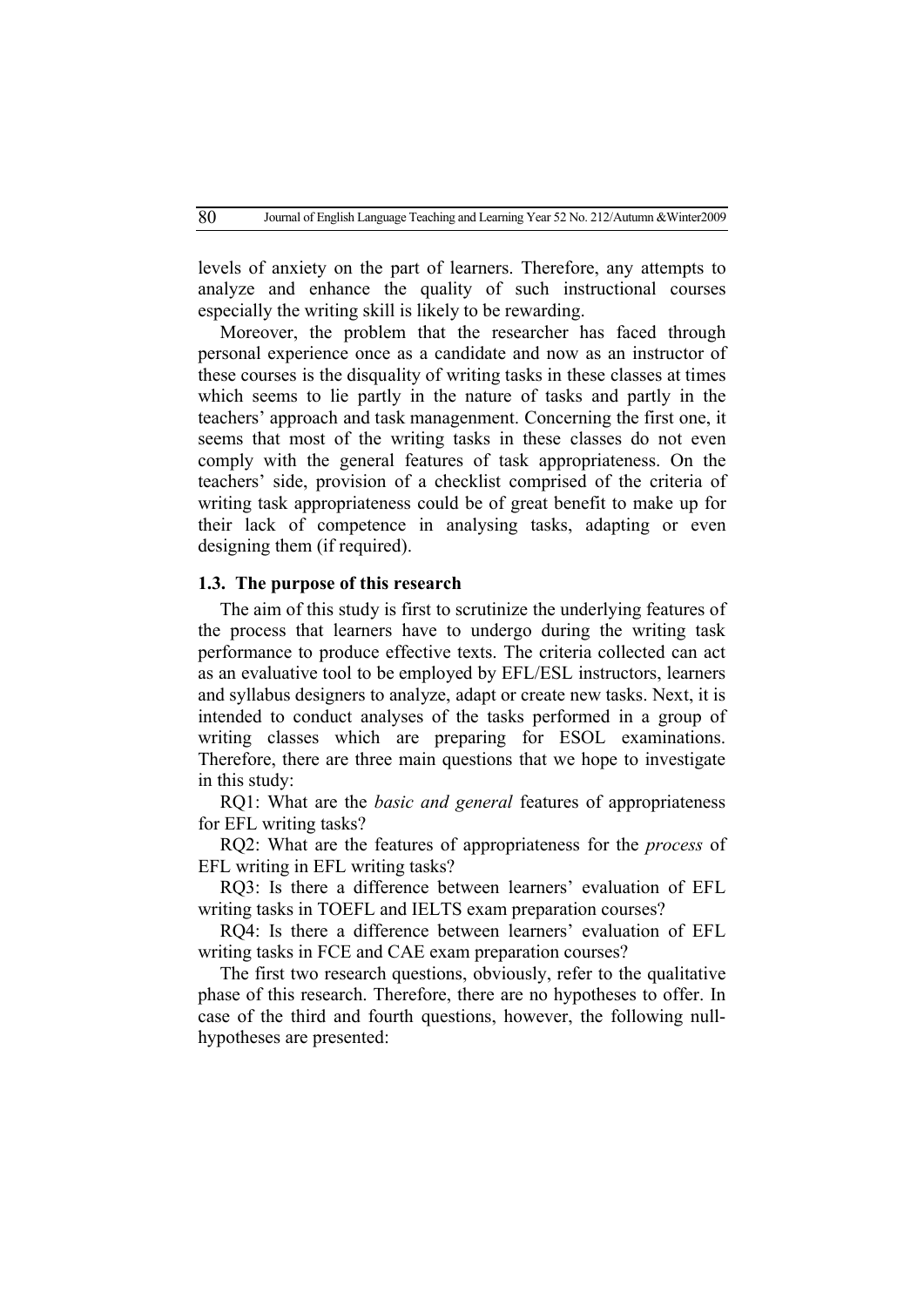levels of anxiety on the part of learners. Therefore, any attempts to analyze and enhance the quality of such instructional courses especially the writing skill is likely to be rewarding.

Moreover, the problem that the researcher has faced through personal experience once as a candidate and now as an instructor of these courses is the disquality of writing tasks in these classes at times which seems to lie partly in the nature of tasks and partly in the teachers' approach and task managenment. Concerning the first one, it seems that most of the writing tasks in these classes do not even comply with the general features of task appropriateness. On the teachers' side, provision of a checklist comprised of the criteria of writing task appropriateness could be of great benefit to make up for their lack of competence in analysing tasks, adapting or even designing them (if required).

## **1.3. The purpose of this research**

The aim of this study is first to scrutinize the underlying features of the process that learners have to undergo during the writing task performance to produce effective texts. The criteria collected can act as an evaluative tool to be employed by EFL/ESL instructors, learners and syllabus designers to analyze, adapt or create new tasks. Next, it is intended to conduct analyses of the tasks performed in a group of writing classes which are preparing for ESOL examinations. Therefore, there are three main questions that we hope to investigate in this study:

RQ1: What are the *basic and general* features of appropriateness for EFL writing tasks?

RQ2: What are the features of appropriateness for the *process* of EFL writing in EFL writing tasks?

RQ3: Is there a difference between learners' evaluation of EFL writing tasks in TOEFL and IELTS exam preparation courses?

RQ4: Is there a difference between learners' evaluation of EFL writing tasks in FCE and CAE exam preparation courses?

The first two research questions, obviously, refer to the qualitative phase of this research. Therefore, there are no hypotheses to offer. In case of the third and fourth questions, however, the following nullhypotheses are presented: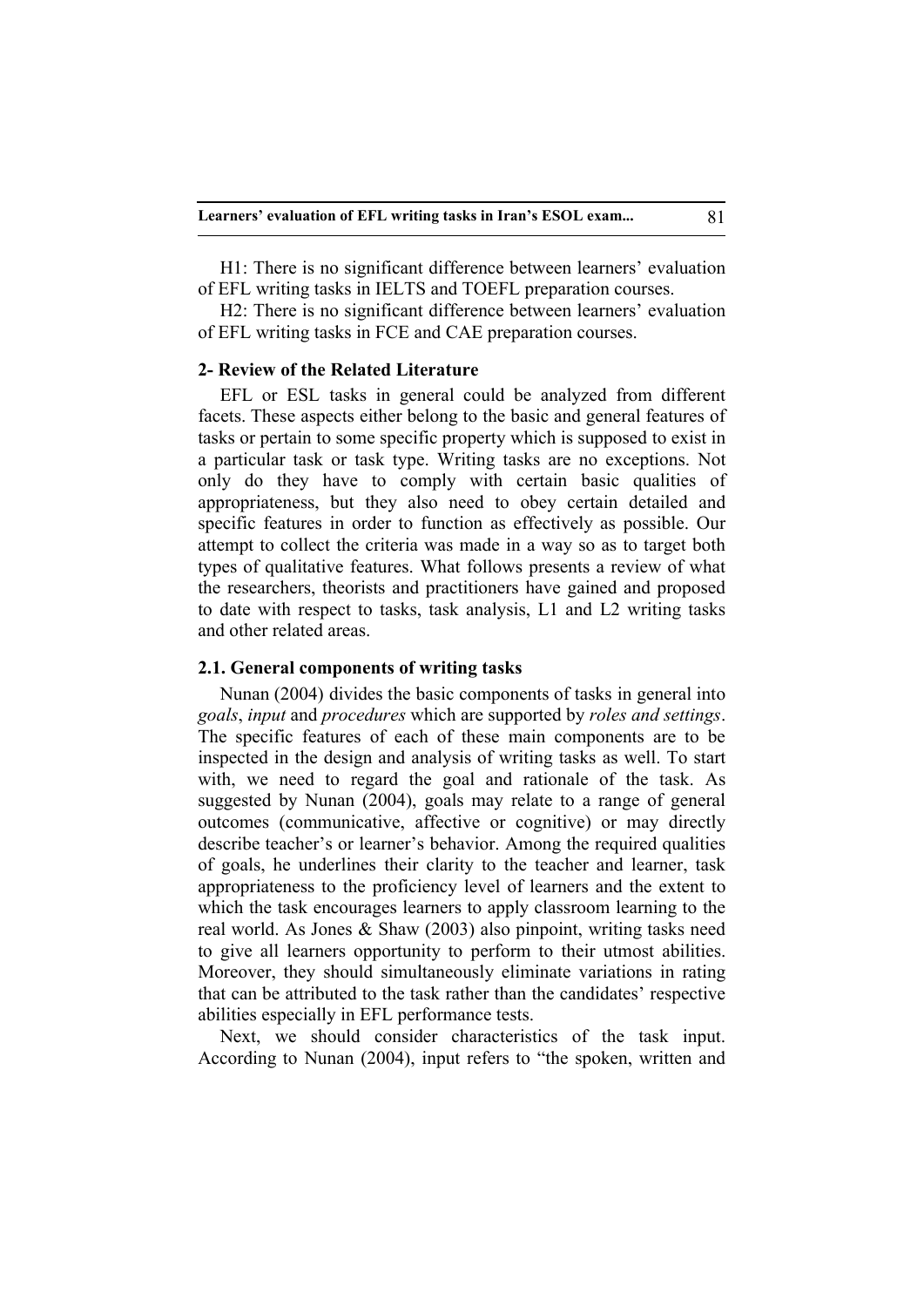H1: There is no significant difference between learners' evaluation of EFL writing tasks in IELTS and TOEFL preparation courses.

H2: There is no significant difference between learners' evaluation of EFL writing tasks in FCE and CAE preparation courses.

#### **2- Review of the Related Literature**

EFL or ESL tasks in general could be analyzed from different facets. These aspects either belong to the basic and general features of tasks or pertain to some specific property which is supposed to exist in a particular task or task type. Writing tasks are no exceptions. Not only do they have to comply with certain basic qualities of appropriateness, but they also need to obey certain detailed and specific features in order to function as effectively as possible. Our attempt to collect the criteria was made in a way so as to target both types of qualitative features. What follows presents a review of what the researchers, theorists and practitioners have gained and proposed to date with respect to tasks, task analysis, L1 and L2 writing tasks and other related areas.

### **2.1. General components of writing tasks**

Nunan (2004) divides the basic components of tasks in general into *goals*, *input* and *procedures* which are supported by *roles and settings*. The specific features of each of these main components are to be inspected in the design and analysis of writing tasks as well. To start with, we need to regard the goal and rationale of the task. As suggested by Nunan (2004), goals may relate to a range of general outcomes (communicative, affective or cognitive) or may directly describe teacher's or learner's behavior. Among the required qualities of goals, he underlines their clarity to the teacher and learner, task appropriateness to the proficiency level of learners and the extent to which the task encourages learners to apply classroom learning to the real world. As Jones & Shaw (2003) also pinpoint, writing tasks need to give all learners opportunity to perform to their utmost abilities. Moreover, they should simultaneously eliminate variations in rating that can be attributed to the task rather than the candidates' respective abilities especially in EFL performance tests.

Next, we should consider characteristics of the task input. According to Nunan (2004), input refers to "the spoken, written and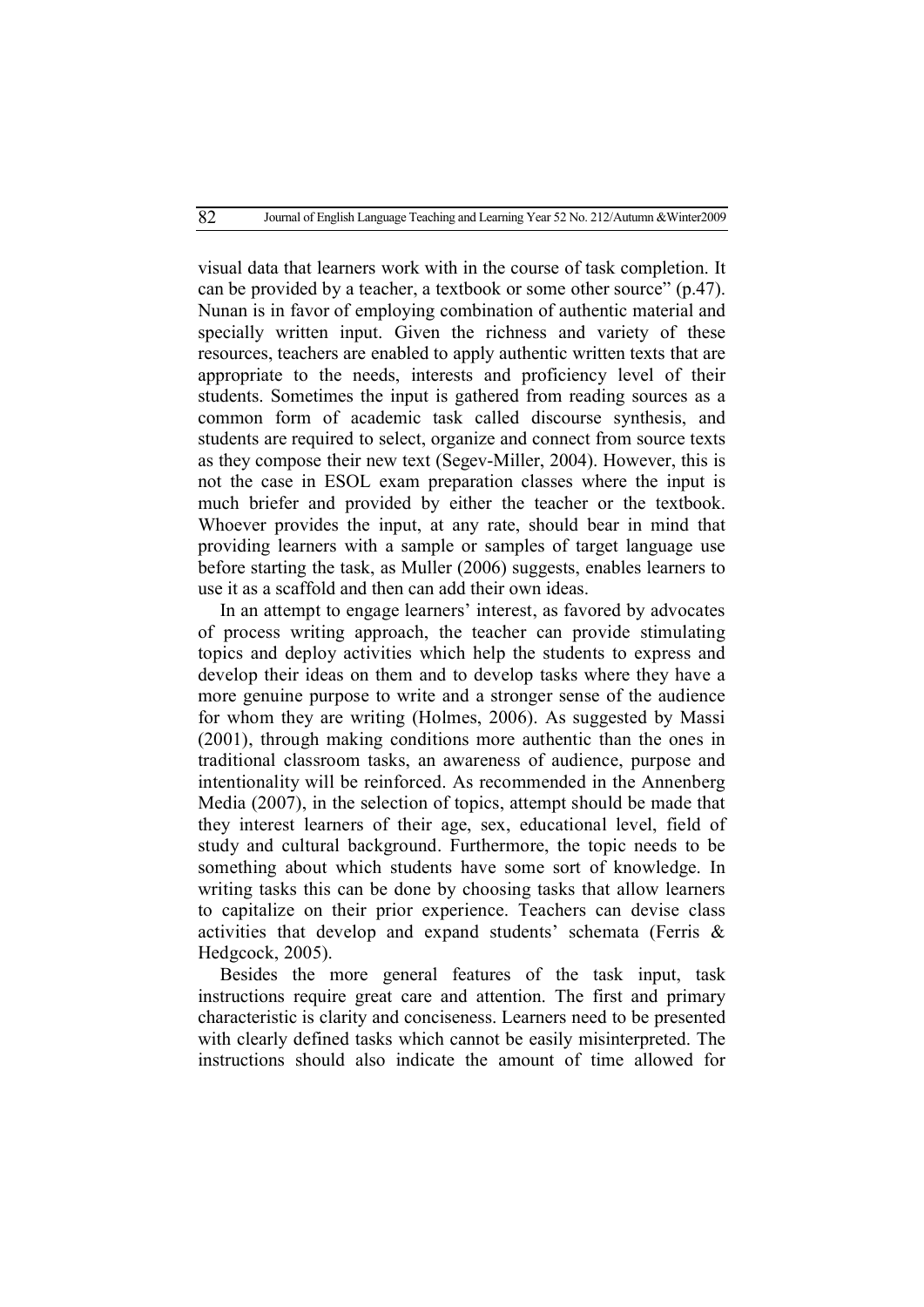visual data that learners work with in the course of task completion. It can be provided by a teacher, a textbook or some other source" (p.47). Nunan is in favor of employing combination of authentic material and specially written input. Given the richness and variety of these resources, teachers are enabled to apply authentic written texts that are appropriate to the needs, interests and proficiency level of their students. Sometimes the input is gathered from reading sources as a common form of academic task called discourse synthesis, and students are required to select, organize and connect from source texts as they compose their new text (Segev-Miller, 2004). However, this is not the case in ESOL exam preparation classes where the input is much briefer and provided by either the teacher or the textbook. Whoever provides the input, at any rate, should bear in mind that providing learners with a sample or samples of target language use before starting the task, as Muller (2006) suggests, enables learners to use it as a scaffold and then can add their own ideas.

In an attempt to engage learners' interest, as favored by advocates of process writing approach, the teacher can provide stimulating topics and deploy activities which help the students to express and develop their ideas on them and to develop tasks where they have a more genuine purpose to write and a stronger sense of the audience for whom they are writing (Holmes, 2006). As suggested by Massi (2001), through making conditions more authentic than the ones in traditional classroom tasks, an awareness of audience, purpose and intentionality will be reinforced. As recommended in the Annenberg Media (2007), in the selection of topics, attempt should be made that they interest learners of their age, sex, educational level, field of study and cultural background. Furthermore, the topic needs to be something about which students have some sort of knowledge. In writing tasks this can be done by choosing tasks that allow learners to capitalize on their prior experience. Teachers can devise class activities that develop and expand students' schemata (Ferris & Hedgcock, 2005).

Besides the more general features of the task input, task instructions require great care and attention. The first and primary characteristic is clarity and conciseness. Learners need to be presented with clearly defined tasks which cannot be easily misinterpreted. The instructions should also indicate the amount of time allowed for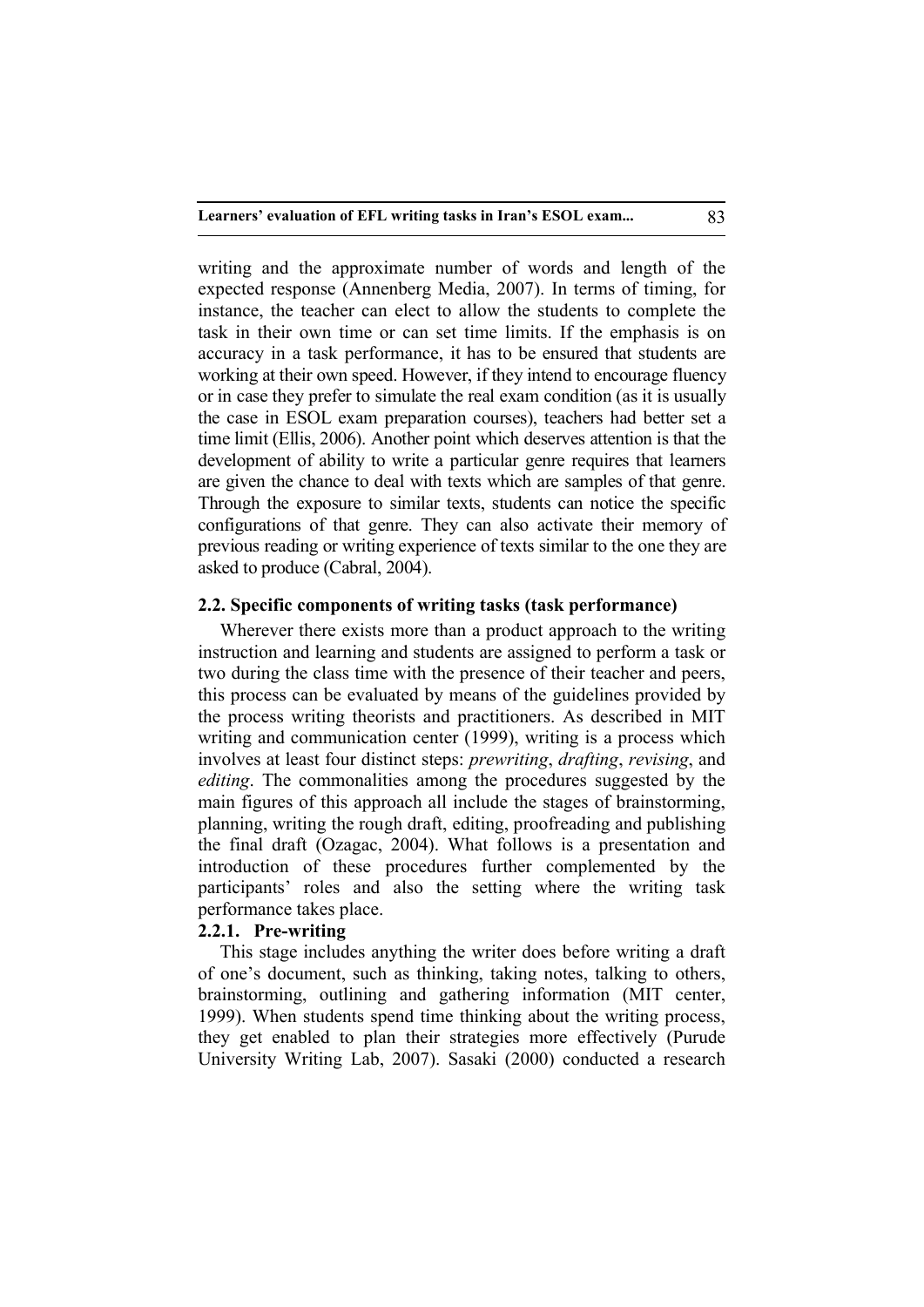writing and the approximate number of words and length of the expected response (Annenberg Media, 2007). In terms of timing, for instance, the teacher can elect to allow the students to complete the task in their own time or can set time limits. If the emphasis is on accuracy in a task performance, it has to be ensured that students are working at their own speed. However, if they intend to encourage fluency or in case they prefer to simulate the real exam condition (as it is usually the case in ESOL exam preparation courses), teachers had better set a time limit (Ellis, 2006). Another point which deserves attention is that the development of ability to write a particular genre requires that learners are given the chance to deal with texts which are samples of that genre. Through the exposure to similar texts, students can notice the specific configurations of that genre. They can also activate their memory of previous reading or writing experience of texts similar to the one they are asked to produce (Cabral, 2004).

# **2.2. Specific components of writing tasks (task performance)**

Wherever there exists more than a product approach to the writing instruction and learning and students are assigned to perform a task or two during the class time with the presence of their teacher and peers, this process can be evaluated by means of the guidelines provided by the process writing theorists and practitioners. As described in MIT writing and communication center (1999), writing is a process which involves at least four distinct steps: *prewriting*, *drafting*, *revising*, and *editing*. The commonalities among the procedures suggested by the main figures of this approach all include the stages of brainstorming, planning, writing the rough draft, editing, proofreading and publishing the final draft (Ozagac, 2004). What follows is a presentation and introduction of these procedures further complemented by the participants' roles and also the setting where the writing task performance takes place.

## **2.2.1. Pre-writing**

This stage includes anything the writer does before writing a draft of one's document, such as thinking, taking notes, talking to others, brainstorming, outlining and gathering information (MIT center, 1999). When students spend time thinking about the writing process, they get enabled to plan their strategies more effectively (Purude University Writing Lab, 2007). Sasaki (2000) conducted a research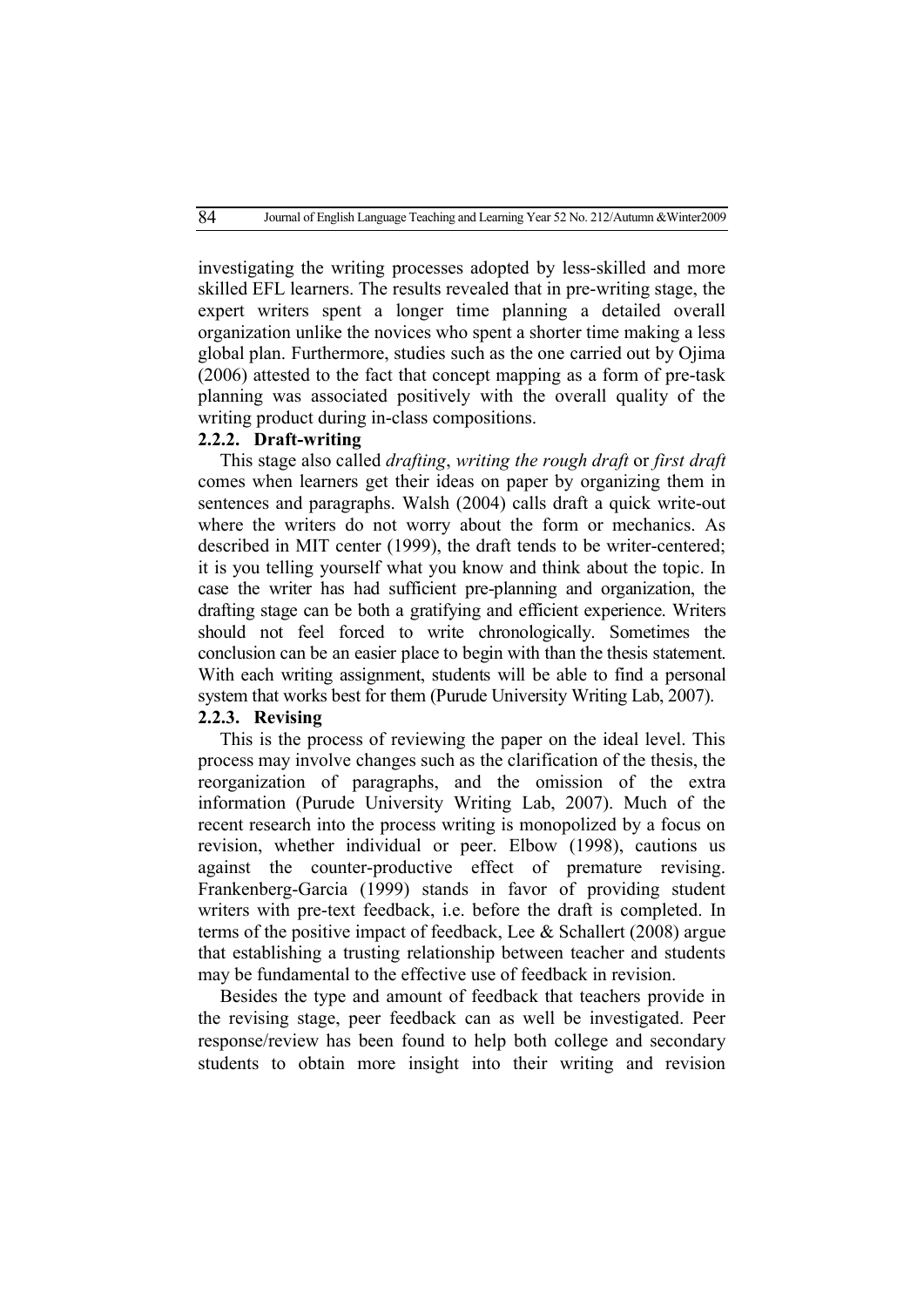investigating the writing processes adopted by less-skilled and more skilled EFL learners. The results revealed that in pre-writing stage, the expert writers spent a longer time planning a detailed overall organization unlike the novices who spent a shorter time making a less global plan. Furthermore, studies such as the one carried out by Ojima (2006) attested to the fact that concept mapping as a form of pre-task planning was associated positively with the overall quality of the writing product during in-class compositions.

## **2.2.2. Draft-writing**

This stage also called *drafting*, *writing the rough draft* or *first draft* comes when learners get their ideas on paper by organizing them in sentences and paragraphs. Walsh (2004) calls draft a quick write-out where the writers do not worry about the form or mechanics. As described in MIT center (1999), the draft tends to be writer-centered; it is you telling yourself what you know and think about the topic. In case the writer has had sufficient pre-planning and organization, the drafting stage can be both a gratifying and efficient experience. Writers should not feel forced to write chronologically. Sometimes the conclusion can be an easier place to begin with than the thesis statement. With each writing assignment, students will be able to find a personal system that works best for them (Purude University Writing Lab, 2007).

### **2.2.3. Revising**

This is the process of reviewing the paper on the ideal level. This process may involve changes such as the clarification of the thesis, the reorganization of paragraphs, and the omission of the extra information (Purude University Writing Lab, 2007). Much of the recent research into the process writing is monopolized by a focus on revision, whether individual or peer. Elbow (1998), cautions us against the counter-productive effect of premature revising. Frankenberg-Garcia (1999) stands in favor of providing student writers with pre-text feedback, i.e. before the draft is completed. In terms of the positive impact of feedback, Lee & Schallert (2008) argue that establishing a trusting relationship between teacher and students may be fundamental to the effective use of feedback in revision.

Besides the type and amount of feedback that teachers provide in the revising stage, peer feedback can as well be investigated. Peer response/review has been found to help both college and secondary students to obtain more insight into their writing and revision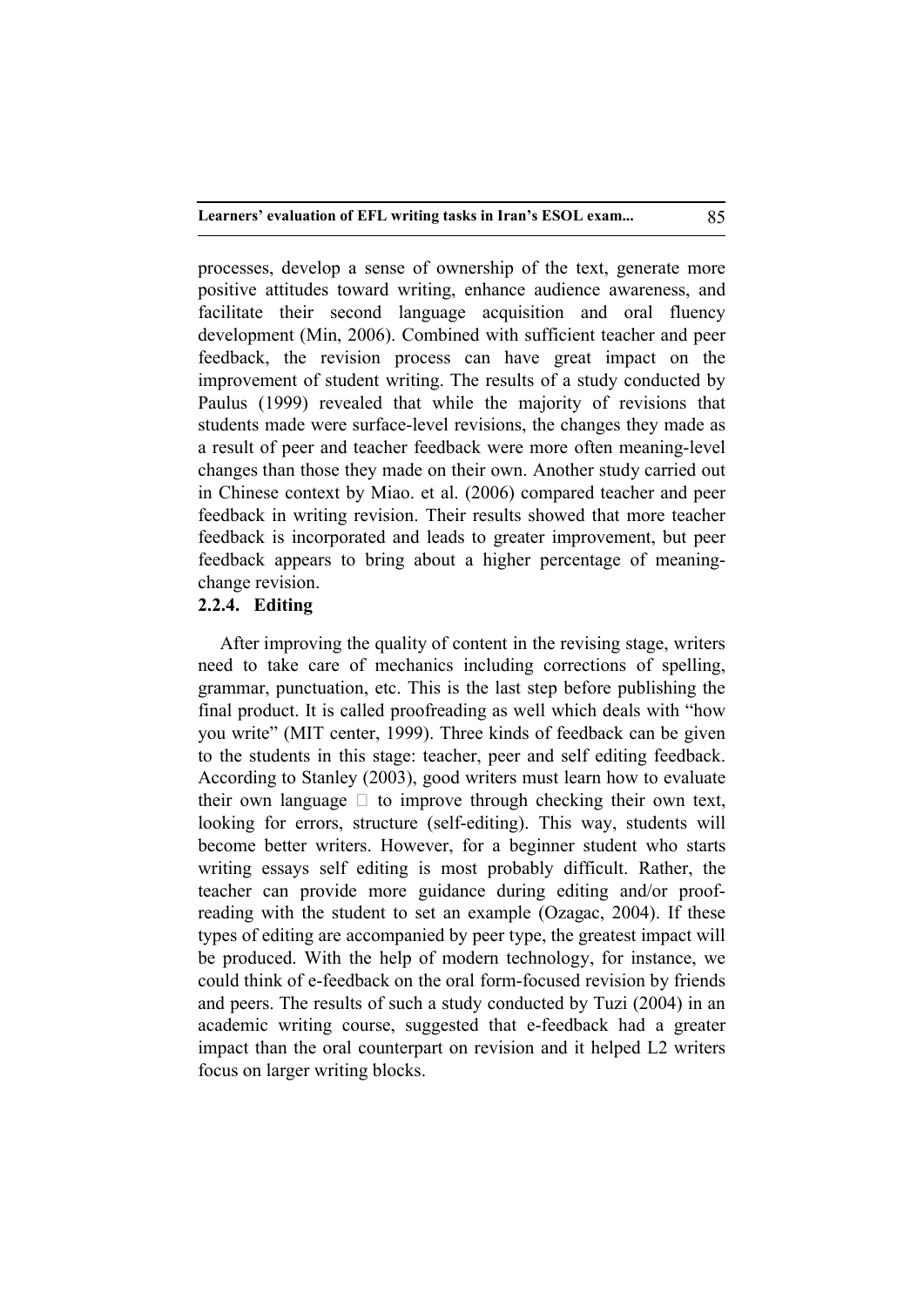processes, develop a sense of ownership of the text, generate more positive attitudes toward writing, enhance audience awareness, and facilitate their second language acquisition and oral fluency development (Min, 2006). Combined with sufficient teacher and peer feedback, the revision process can have great impact on the improvement of student writing. The results of a study conducted by Paulus (1999) revealed that while the majority of revisions that students made were surface-level revisions, the changes they made as a result of peer and teacher feedback were more often meaning-level changes than those they made on their own. Another study carried out in Chinese context by Miao. et al. (2006) compared teacher and peer feedback in writing revision. Their results showed that more teacher feedback is incorporated and leads to greater improvement, but peer feedback appears to bring about a higher percentage of meaningchange revision.

# **2.2.4. Editing**

After improving the quality of content in the revising stage, writers need to take care of mechanics including corrections of spelling, grammar, punctuation, etc. This is the last step before publishing the final product. It is called proofreading as well which deals with "how you write" (MIT center, 1999). Three kinds of feedback can be given to the students in this stage: teacher, peer and self editing feedback. According to Stanley (2003), good writers must learn how to evaluate their own language  $\Box$  to improve through checking their own text, looking for errors, structure (self-editing). This way, students will become better writers. However, for a beginner student who starts writing essays self editing is most probably difficult. Rather, the teacher can provide more guidance during editing and/or proofreading with the student to set an example (Ozagac, 2004). If these types of editing are accompanied by peer type, the greatest impact will be produced. With the help of modern technology, for instance, we could think of e-feedback on the oral form-focused revision by friends and peers. The results of such a study conducted by Tuzi (2004) in an academic writing course, suggested that e-feedback had a greater impact than the oral counterpart on revision and it helped L2 writers focus on larger writing blocks.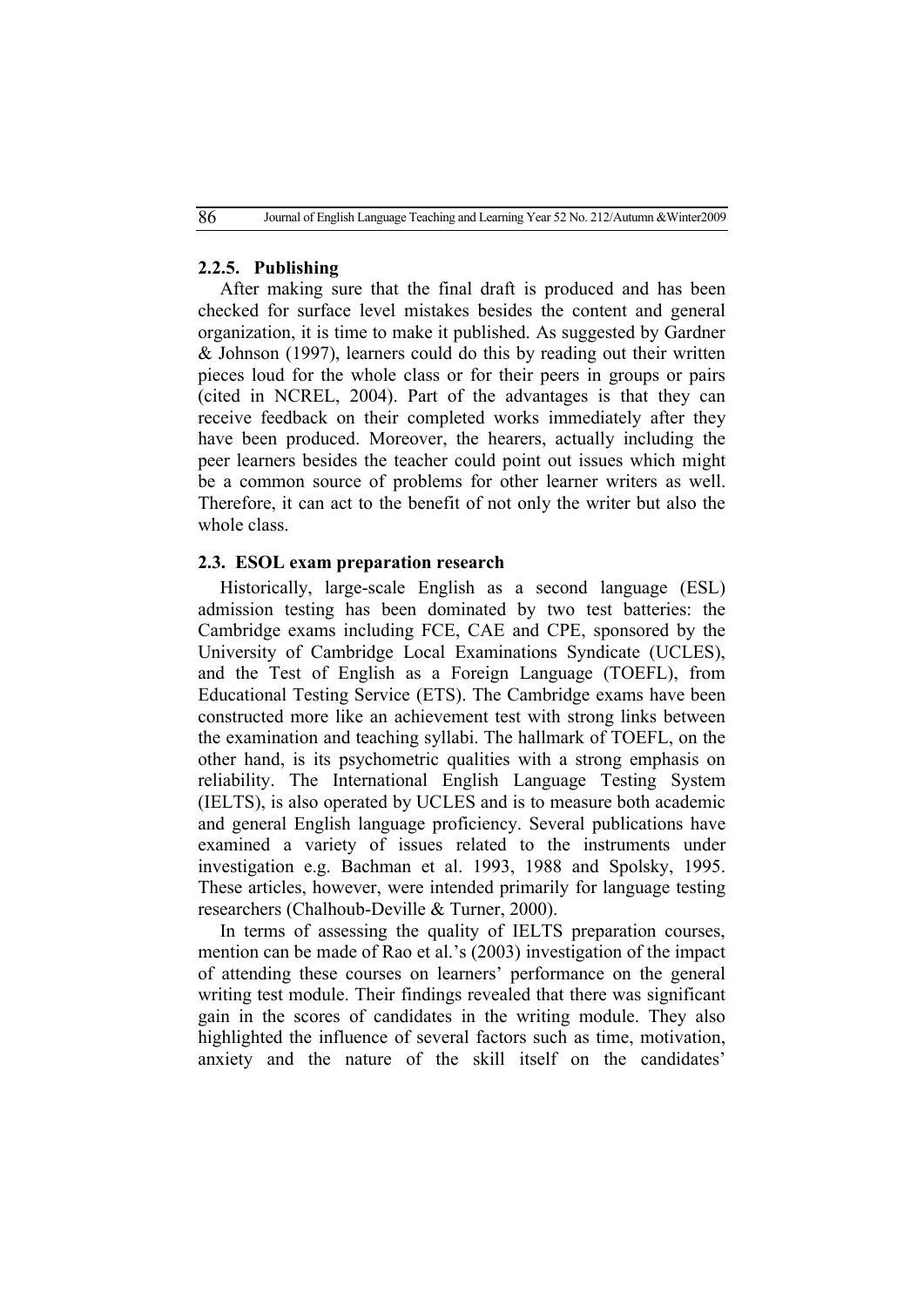## **2.2.5. Publishing**

After making sure that the final draft is produced and has been checked for surface level mistakes besides the content and general organization, it is time to make it published. As suggested by Gardner & Johnson (1997), learners could do this by reading out their written pieces loud for the whole class or for their peers in groups or pairs (cited in NCREL, 2004). Part of the advantages is that they can receive feedback on their completed works immediately after they have been produced. Moreover, the hearers, actually including the peer learners besides the teacher could point out issues which might be a common source of problems for other learner writers as well. Therefore, it can act to the benefit of not only the writer but also the whole class.

### **2.3. ESOL exam preparation research**

Historically, large-scale English as a second language (ESL) admission testing has been dominated by two test batteries: the Cambridge exams including FCE, CAE and CPE, sponsored by the University of Cambridge Local Examinations Syndicate (UCLES), and the Test of English as a Foreign Language (TOEFL), from Educational Testing Service (ETS). The Cambridge exams have been constructed more like an achievement test with strong links between the examination and teaching syllabi. The hallmark of TOEFL, on the other hand, is its psychometric qualities with a strong emphasis on reliability. The International English Language Testing System (IELTS), is also operated by UCLES and is to measure both academic and general English language proficiency. Several publications have examined a variety of issues related to the instruments under investigation e.g. Bachman et al. 1993, 1988 and Spolsky, 1995. These articles, however, were intended primarily for language testing researchers (Chalhoub-Deville & Turner, 2000).

In terms of assessing the quality of IELTS preparation courses, mention can be made of Rao et al.'s (2003) investigation of the impact of attending these courses on learners' performance on the general writing test module. Their findings revealed that there was significant gain in the scores of candidates in the writing module. They also highlighted the influence of several factors such as time, motivation, anxiety and the nature of the skill itself on the candidates'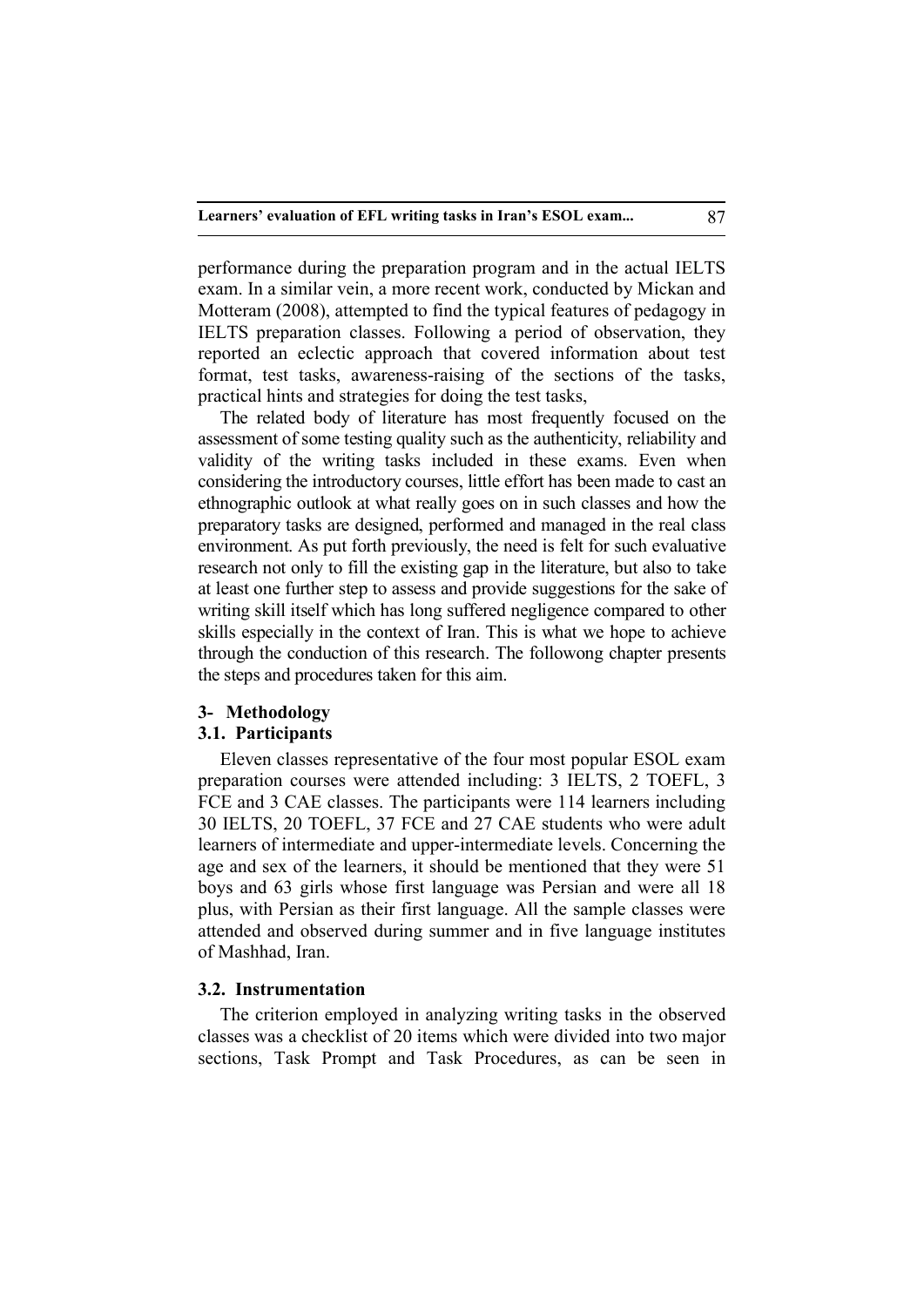performance during the preparation program and in the actual IELTS exam. In a similar vein, a more recent work, conducted by Mickan and Motteram (2008), attempted to find the typical features of pedagogy in IELTS preparation classes. Following a period of observation, they reported an eclectic approach that covered information about test format, test tasks, awareness-raising of the sections of the tasks, practical hints and strategies for doing the test tasks,

The related body of literature has most frequently focused on the assessment of some testing quality such as the authenticity, reliability and validity of the writing tasks included in these exams. Even when considering the introductory courses, little effort has been made to cast an ethnographic outlook at what really goes on in such classes and how the preparatory tasks are designed, performed and managed in the real class environment. As put forth previously, the need is felt for such evaluative research not only to fill the existing gap in the literature, but also to take at least one further step to assess and provide suggestions for the sake of writing skill itself which has long suffered negligence compared to other skills especially in the context of Iran. This is what we hope to achieve through the conduction of this research. The followong chapter presents the steps and procedures taken for this aim.

# **3- Methodology**

### **3.1. Participants**

Eleven classes representative of the four most popular ESOL exam preparation courses were attended including: 3 IELTS, 2 TOEFL, 3 FCE and 3 CAE classes. The participants were 114 learners including 30 IELTS, 20 TOEFL, 37 FCE and 27 CAE students who were adult learners of intermediate and upper-intermediate levels. Concerning the age and sex of the learners, it should be mentioned that they were 51 boys and 63 girls whose first language was Persian and were all 18 plus, with Persian as their first language. All the sample classes were attended and observed during summer and in five language institutes of Mashhad, Iran.

#### **3.2. Instrumentation**

The criterion employed in analyzing writing tasks in the observed classes was a checklist of 20 items which were divided into two major sections, Task Prompt and Task Procedures, as can be seen in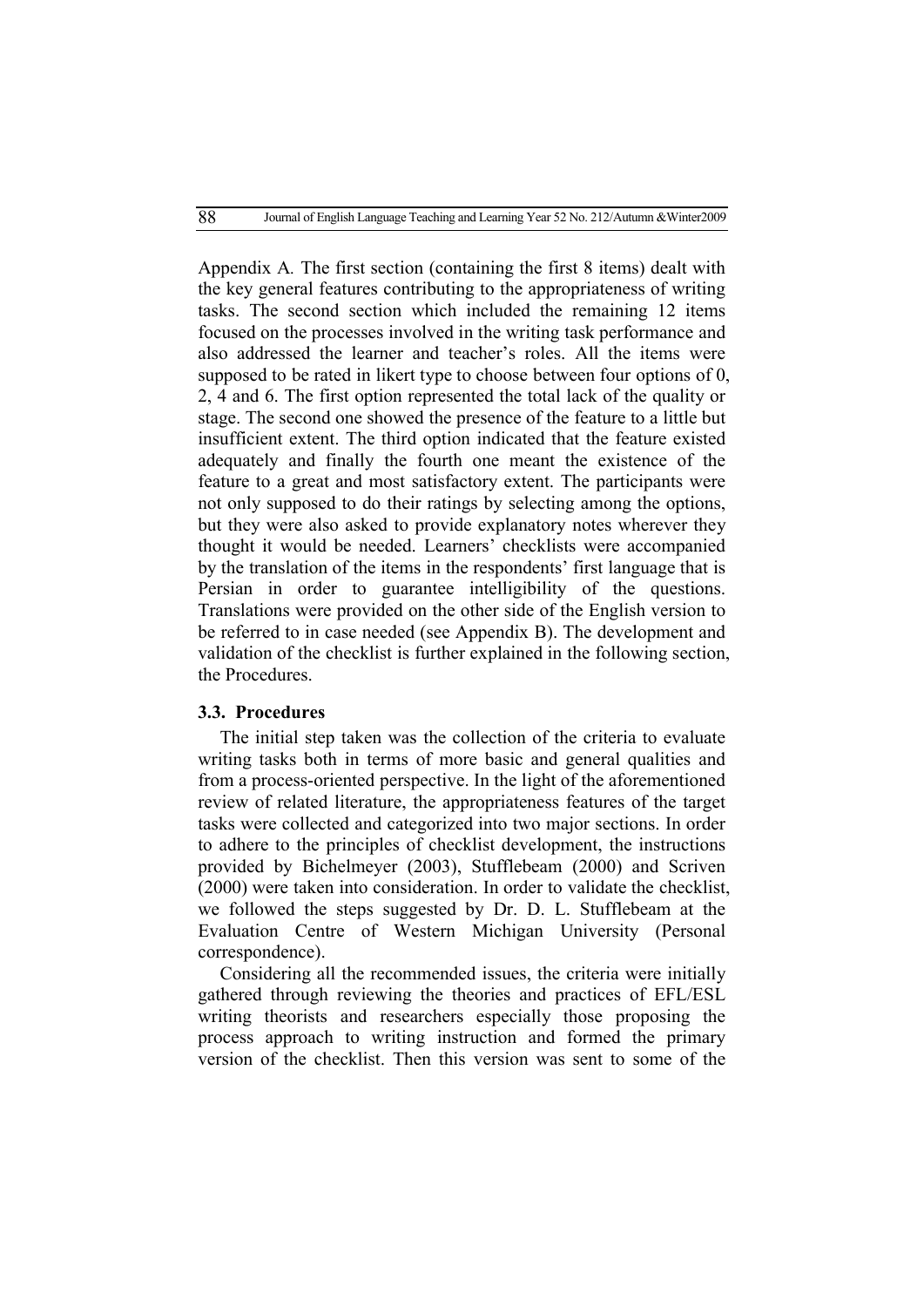Appendix A*.* The first section (containing the first 8 items) dealt with the key general features contributing to the appropriateness of writing tasks. The second section which included the remaining 12 items focused on the processes involved in the writing task performance and also addressed the learner and teacher's roles. All the items were supposed to be rated in likert type to choose between four options of 0, 2, 4 and 6. The first option represented the total lack of the quality or stage. The second one showed the presence of the feature to a little but insufficient extent. The third option indicated that the feature existed adequately and finally the fourth one meant the existence of the feature to a great and most satisfactory extent. The participants were not only supposed to do their ratings by selecting among the options, but they were also asked to provide explanatory notes wherever they thought it would be needed. Learners' checklists were accompanied by the translation of the items in the respondents' first language that is Persian in order to guarantee intelligibility of the questions. Translations were provided on the other side of the English version to be referred to in case needed (see Appendix B). The development and validation of the checklist is further explained in the following section, the Procedures.

## **3.3. Procedures**

The initial step taken was the collection of the criteria to evaluate writing tasks both in terms of more basic and general qualities and from a process-oriented perspective. In the light of the aforementioned review of related literature, the appropriateness features of the target tasks were collected and categorized into two major sections. In order to adhere to the principles of checklist development, the instructions provided by Bichelmeyer (2003), Stufflebeam (2000) and Scriven (2000) were taken into consideration. In order to validate the checklist, we followed the steps suggested by Dr. D. L. Stufflebeam at the Evaluation Centre of Western Michigan University (Personal correspondence).

Considering all the recommended issues, the criteria were initially gathered through reviewing the theories and practices of EFL/ESL writing theorists and researchers especially those proposing the process approach to writing instruction and formed the primary version of the checklist. Then this version was sent to some of the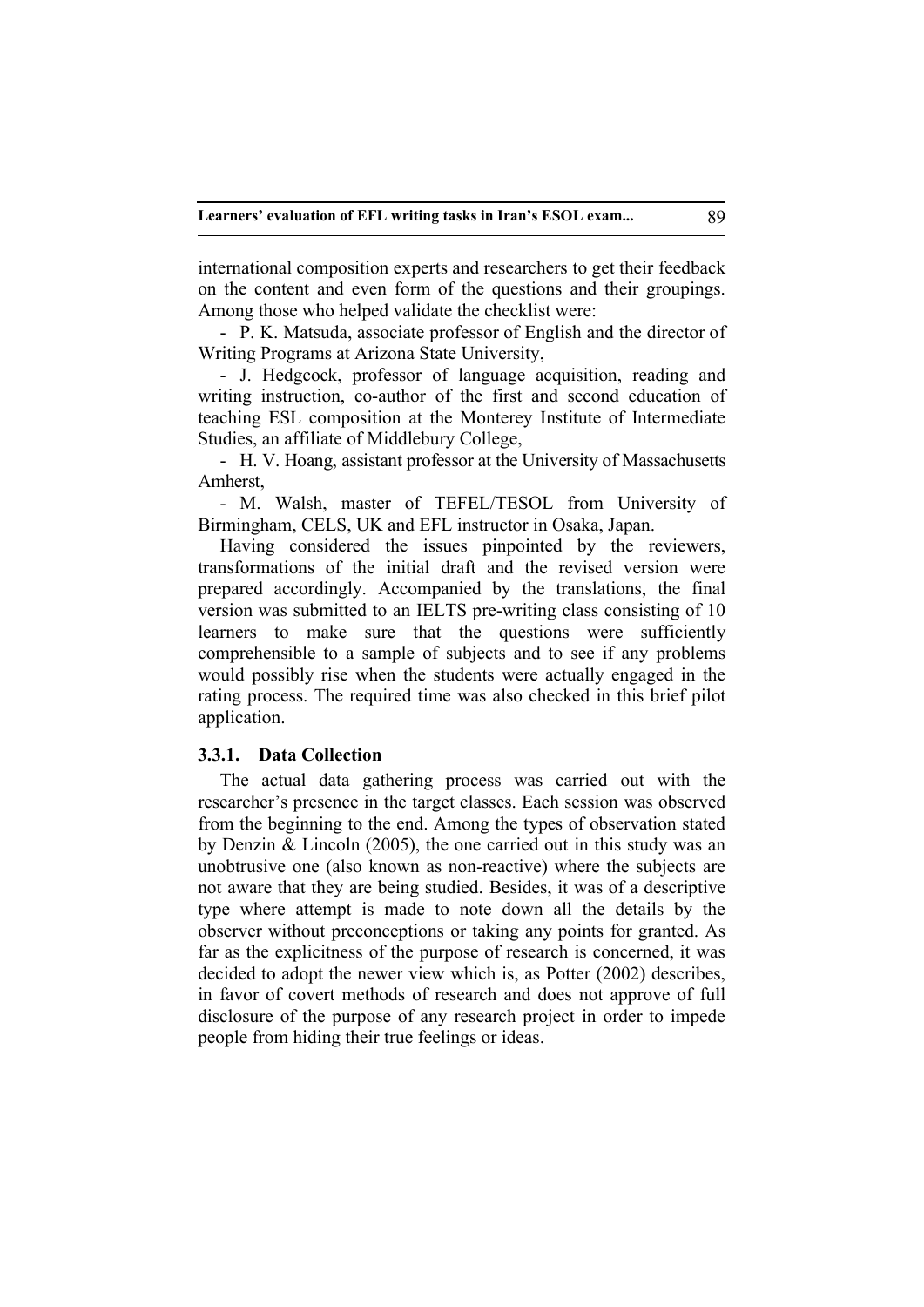international composition experts and researchers to get their feedback on the content and even form of the questions and their groupings. Among those who helped validate the checklist were:

- P. K. Matsuda, associate professor of English and the director of Writing Programs at Arizona State University,

- J. Hedgcock, professor of language acquisition, reading and writing instruction, co-author of the first and second education of teaching ESL composition at the Monterey Institute of Intermediate Studies, an affiliate of Middlebury College,

- H. V. Hoang, assistant professor at the University of Massachusetts Amherst,

- M. Walsh, master of TEFEL/TESOL from University of Birmingham, CELS, UK and EFL instructor in Osaka, Japan.

Having considered the issues pinpointed by the reviewers, transformations of the initial draft and the revised version were prepared accordingly. Accompanied by the translations, the final version was submitted to an IELTS pre-writing class consisting of 10 learners to make sure that the questions were sufficiently comprehensible to a sample of subjects and to see if any problems would possibly rise when the students were actually engaged in the rating process. The required time was also checked in this brief pilot application.

## **3.3.1. Data Collection**

The actual data gathering process was carried out with the researcher's presence in the target classes. Each session was observed from the beginning to the end. Among the types of observation stated by Denzin & Lincoln (2005), the one carried out in this study was an unobtrusive one (also known as non-reactive) where the subjects are not aware that they are being studied. Besides, it was of a descriptive type where attempt is made to note down all the details by the observer without preconceptions or taking any points for granted. As far as the explicitness of the purpose of research is concerned, it was decided to adopt the newer view which is, as Potter (2002) describes, in favor of covert methods of research and does not approve of full disclosure of the purpose of any research project in order to impede people from hiding their true feelings or ideas.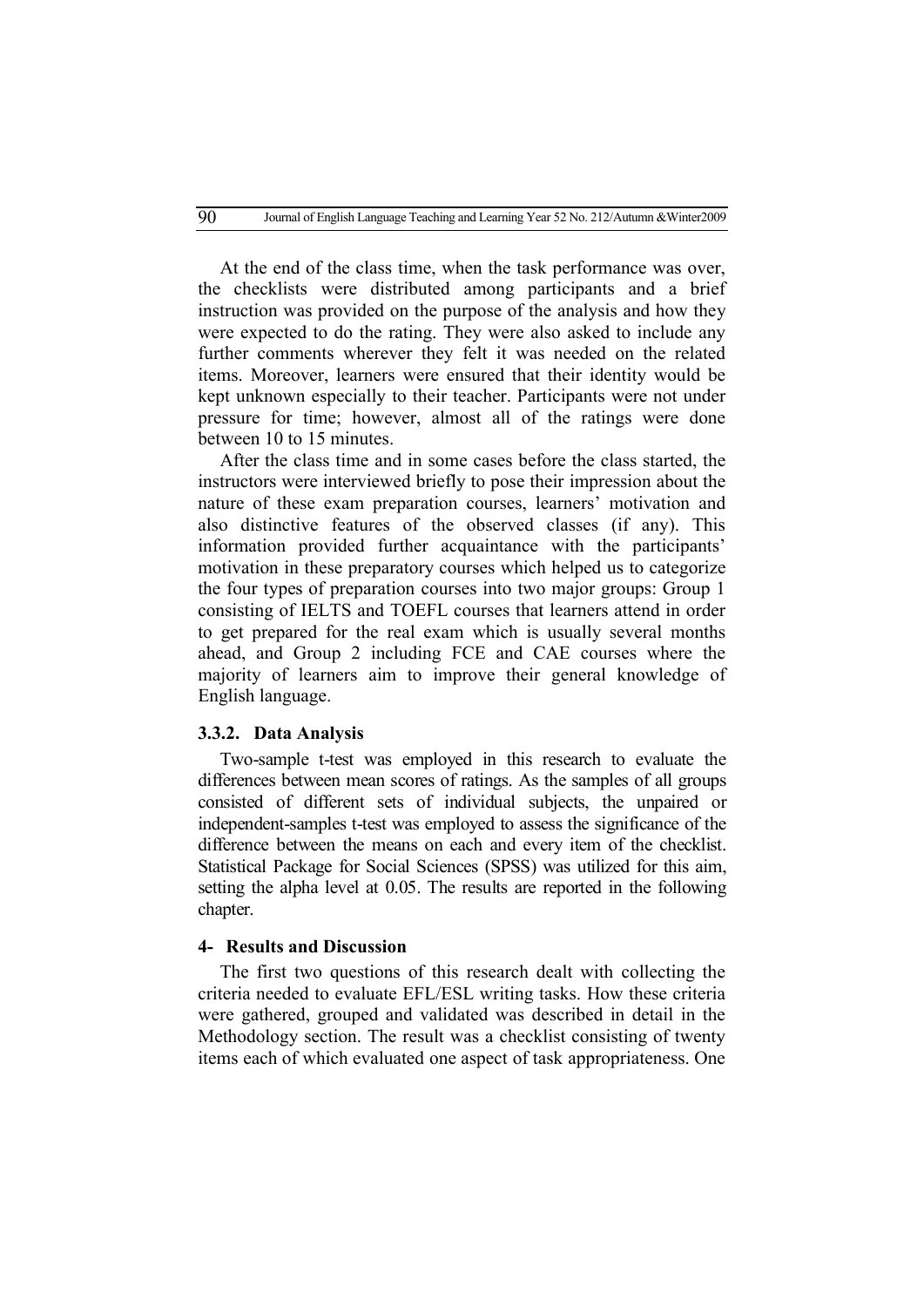At the end of the class time, when the task performance was over, the checklists were distributed among participants and a brief instruction was provided on the purpose of the analysis and how they were expected to do the rating. They were also asked to include any further comments wherever they felt it was needed on the related items. Moreover, learners were ensured that their identity would be kept unknown especially to their teacher. Participants were not under pressure for time; however, almost all of the ratings were done between 10 to 15 minutes.

After the class time and in some cases before the class started, the instructors were interviewed briefly to pose their impression about the nature of these exam preparation courses, learners' motivation and also distinctive features of the observed classes (if any). This information provided further acquaintance with the participants' motivation in these preparatory courses which helped us to categorize the four types of preparation courses into two major groups: Group 1 consisting of IELTS and TOEFL courses that learners attend in order to get prepared for the real exam which is usually several months ahead, and Group 2 including FCE and CAE courses where the majority of learners aim to improve their general knowledge of English language.

#### **3.3.2. Data Analysis**

Two-sample t-test was employed in this research to evaluate the differences between mean scores of ratings. As the samples of all groups consisted of different sets of individual subjects, the unpaired or independent-samples t-test was employed to assess the significance of the difference between the means on each and every item of the checklist. Statistical Package for Social Sciences (SPSS) was utilized for this aim, setting the alpha level at 0.05. The results are reported in the following chapter.

# **4- Results and Discussion**

The first two questions of this research dealt with collecting the criteria needed to evaluate EFL/ESL writing tasks. How these criteria were gathered, grouped and validated was described in detail in the Methodology section. The result was a checklist consisting of twenty items each of which evaluated one aspect of task appropriateness. One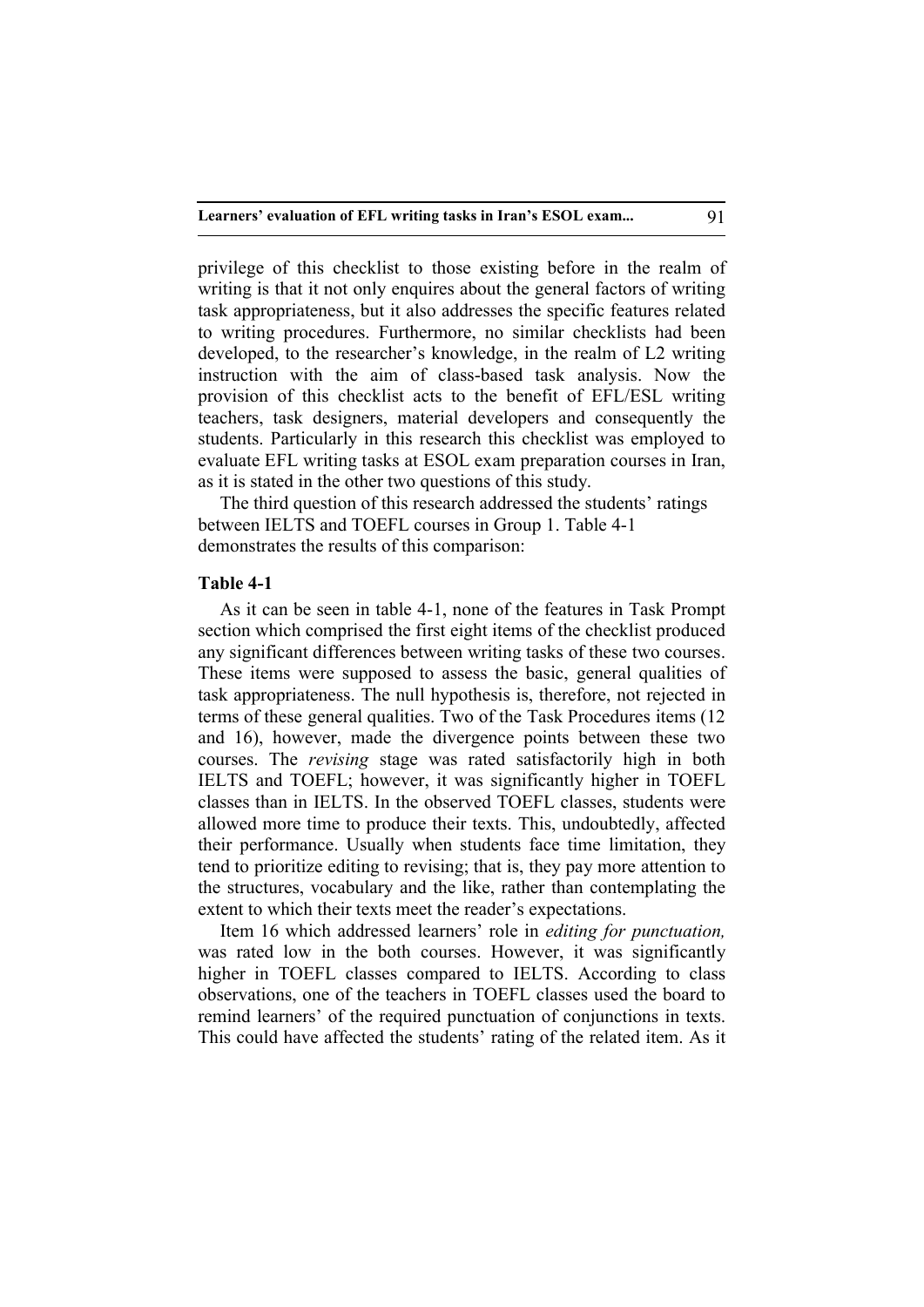privilege of this checklist to those existing before in the realm of writing is that it not only enquires about the general factors of writing task appropriateness, but it also addresses the specific features related to writing procedures. Furthermore, no similar checklists had been developed, to the researcher's knowledge, in the realm of L2 writing instruction with the aim of class-based task analysis. Now the provision of this checklist acts to the benefit of EFL/ESL writing teachers, task designers, material developers and consequently the students. Particularly in this research this checklist was employed to evaluate EFL writing tasks at ESOL exam preparation courses in Iran, as it is stated in the other two questions of this study.

The third question of this research addressed the students' ratings between IELTS and TOEFL courses in Group 1. Table 4-1 demonstrates the results of this comparison:

### **Table 4-1**

As it can be seen in table 4-1, none of the features in Task Prompt section which comprised the first eight items of the checklist produced any significant differences between writing tasks of these two courses. These items were supposed to assess the basic, general qualities of task appropriateness. The null hypothesis is, therefore, not rejected in terms of these general qualities. Two of the Task Procedures items (12 and 16), however, made the divergence points between these two courses. The *revising* stage was rated satisfactorily high in both IELTS and TOEFL; however, it was significantly higher in TOEFL classes than in IELTS. In the observed TOEFL classes, students were allowed more time to produce their texts. This, undoubtedly, affected their performance. Usually when students face time limitation, they tend to prioritize editing to revising; that is, they pay more attention to the structures, vocabulary and the like, rather than contemplating the extent to which their texts meet the reader's expectations.

Item 16 which addressed learners' role in *editing for punctuation,* was rated low in the both courses. However, it was significantly higher in TOEFL classes compared to IELTS. According to class observations, one of the teachers in TOEFL classes used the board to remind learners' of the required punctuation of conjunctions in texts. This could have affected the students' rating of the related item. As it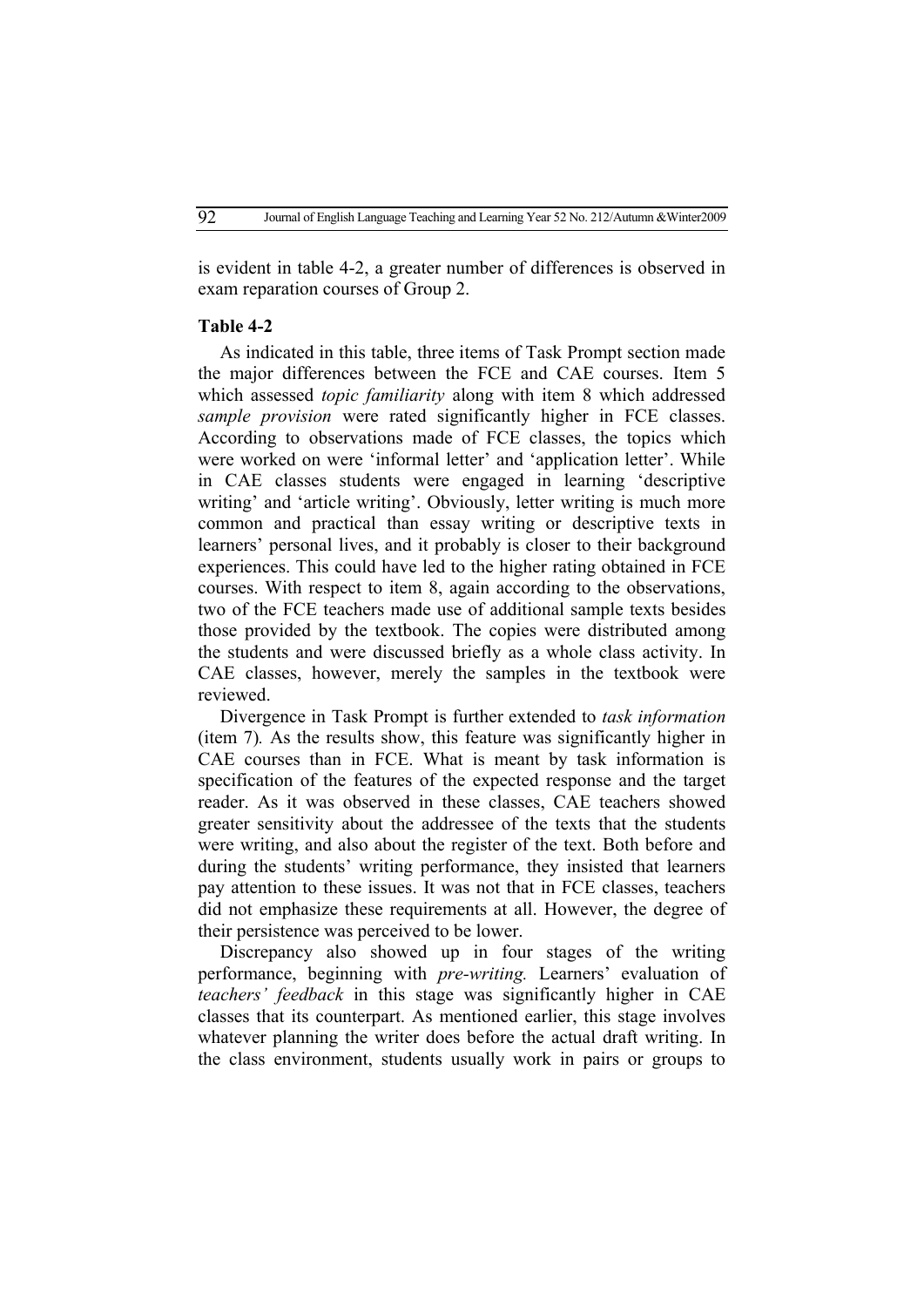is evident in table 4-2, a greater number of differences is observed in exam reparation courses of Group 2.

#### **Table 4-2**

As indicated in this table, three items of Task Prompt section made the major differences between the FCE and CAE courses. Item 5 which assessed *topic familiarity* along with item 8 which addressed *sample provision* were rated significantly higher in FCE classes. According to observations made of FCE classes, the topics which were worked on were 'informal letter' and 'application letter'. While in CAE classes students were engaged in learning 'descriptive writing' and 'article writing'. Obviously, letter writing is much more common and practical than essay writing or descriptive texts in learners' personal lives, and it probably is closer to their background experiences. This could have led to the higher rating obtained in FCE courses. With respect to item 8, again according to the observations, two of the FCE teachers made use of additional sample texts besides those provided by the textbook. The copies were distributed among the students and were discussed briefly as a whole class activity. In CAE classes, however, merely the samples in the textbook were reviewed.

Divergence in Task Prompt is further extended to *task information* (item 7)*.* As the results show, this feature was significantly higher in CAE courses than in FCE. What is meant by task information is specification of the features of the expected response and the target reader. As it was observed in these classes, CAE teachers showed greater sensitivity about the addressee of the texts that the students were writing, and also about the register of the text. Both before and during the students' writing performance, they insisted that learners pay attention to these issues. It was not that in FCE classes, teachers did not emphasize these requirements at all. However, the degree of their persistence was perceived to be lower.

Discrepancy also showed up in four stages of the writing performance, beginning with *pre-writing.* Learners' evaluation of *teachers' feedback* in this stage was significantly higher in CAE classes that its counterpart. As mentioned earlier, this stage involves whatever planning the writer does before the actual draft writing. In the class environment, students usually work in pairs or groups to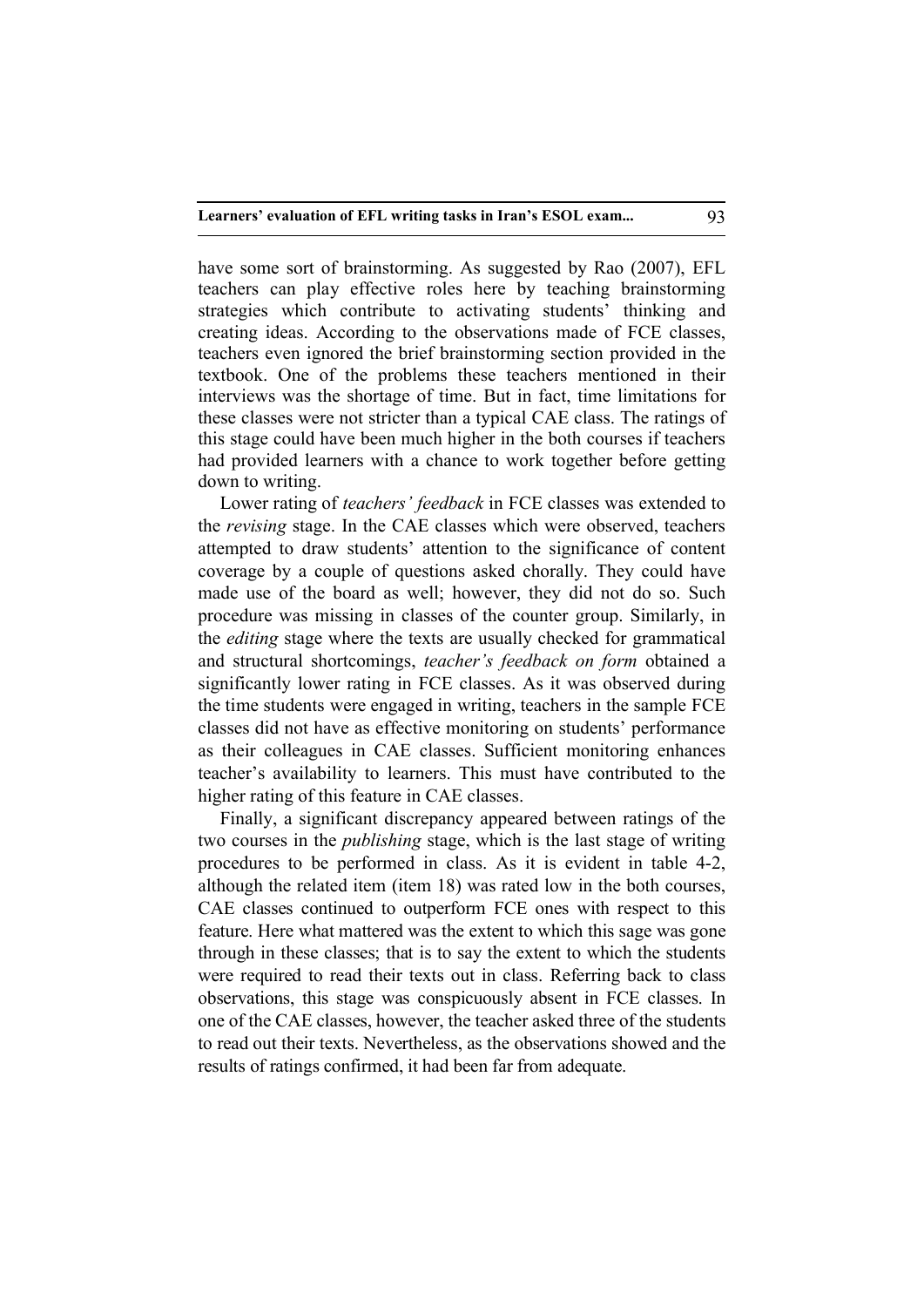have some sort of brainstorming. As suggested by Rao (2007), EFL teachers can play effective roles here by teaching brainstorming strategies which contribute to activating students' thinking and creating ideas. According to the observations made of FCE classes, teachers even ignored the brief brainstorming section provided in the textbook. One of the problems these teachers mentioned in their interviews was the shortage of time. But in fact, time limitations for these classes were not stricter than a typical CAE class. The ratings of this stage could have been much higher in the both courses if teachers had provided learners with a chance to work together before getting down to writing.

Lower rating of *teachers' feedback* in FCE classes was extended to the *revising* stage. In the CAE classes which were observed, teachers attempted to draw students' attention to the significance of content coverage by a couple of questions asked chorally. They could have made use of the board as well; however, they did not do so. Such procedure was missing in classes of the counter group. Similarly, in the *editing* stage where the texts are usually checked for grammatical and structural shortcomings, *teacher's feedback on form* obtained a significantly lower rating in FCE classes. As it was observed during the time students were engaged in writing, teachers in the sample FCE classes did not have as effective monitoring on students' performance as their colleagues in CAE classes. Sufficient monitoring enhances teacher's availability to learners. This must have contributed to the higher rating of this feature in CAE classes.

Finally, a significant discrepancy appeared between ratings of the two courses in the *publishing* stage, which is the last stage of writing procedures to be performed in class. As it is evident in table 4-2, although the related item (item 18) was rated low in the both courses, CAE classes continued to outperform FCE ones with respect to this feature. Here what mattered was the extent to which this sage was gone through in these classes; that is to say the extent to which the students were required to read their texts out in class. Referring back to class observations, this stage was conspicuously absent in FCE classes. In one of the CAE classes, however, the teacher asked three of the students to read out their texts. Nevertheless, as the observations showed and the results of ratings confirmed, it had been far from adequate.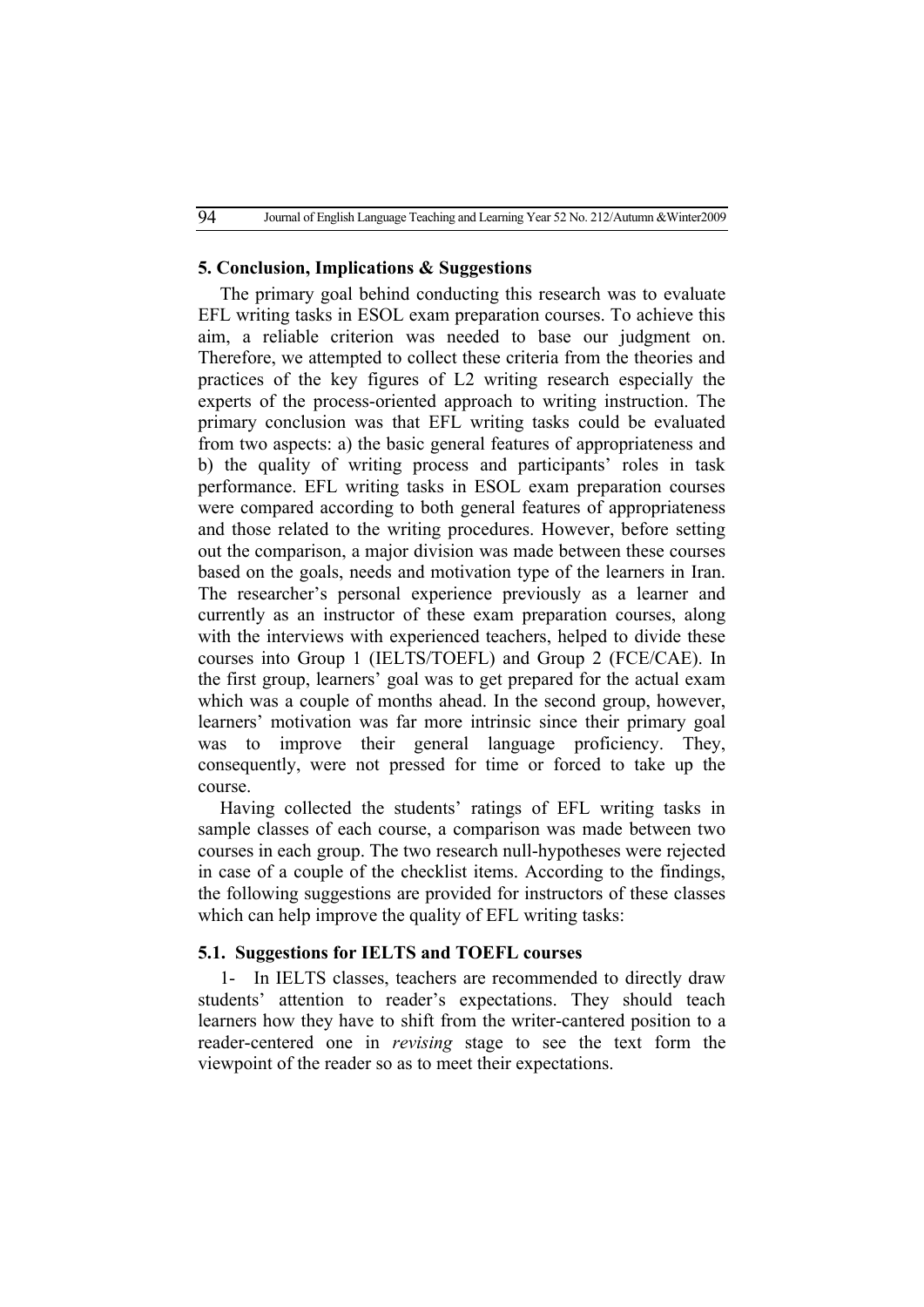#### **5. Conclusion, Implications & Suggestions**

The primary goal behind conducting this research was to evaluate EFL writing tasks in ESOL exam preparation courses. To achieve this aim, a reliable criterion was needed to base our judgment on. Therefore, we attempted to collect these criteria from the theories and practices of the key figures of L2 writing research especially the experts of the process-oriented approach to writing instruction. The primary conclusion was that EFL writing tasks could be evaluated from two aspects: a) the basic general features of appropriateness and b) the quality of writing process and participants' roles in task performance. EFL writing tasks in ESOL exam preparation courses were compared according to both general features of appropriateness and those related to the writing procedures. However, before setting out the comparison, a major division was made between these courses based on the goals, needs and motivation type of the learners in Iran. The researcher's personal experience previously as a learner and currently as an instructor of these exam preparation courses, along with the interviews with experienced teachers, helped to divide these courses into Group 1 (IELTS/TOEFL) and Group 2 (FCE/CAE). In the first group, learners' goal was to get prepared for the actual exam which was a couple of months ahead. In the second group, however, learners' motivation was far more intrinsic since their primary goal was to improve their general language proficiency. They, consequently, were not pressed for time or forced to take up the course.

Having collected the students' ratings of EFL writing tasks in sample classes of each course, a comparison was made between two courses in each group. The two research null-hypotheses were rejected in case of a couple of the checklist items. According to the findings, the following suggestions are provided for instructors of these classes which can help improve the quality of EFL writing tasks:

#### **5.1. Suggestions for IELTS and TOEFL courses**

1- In IELTS classes, teachers are recommended to directly draw students' attention to reader's expectations. They should teach learners how they have to shift from the writer-cantered position to a reader-centered one in *revising* stage to see the text form the viewpoint of the reader so as to meet their expectations.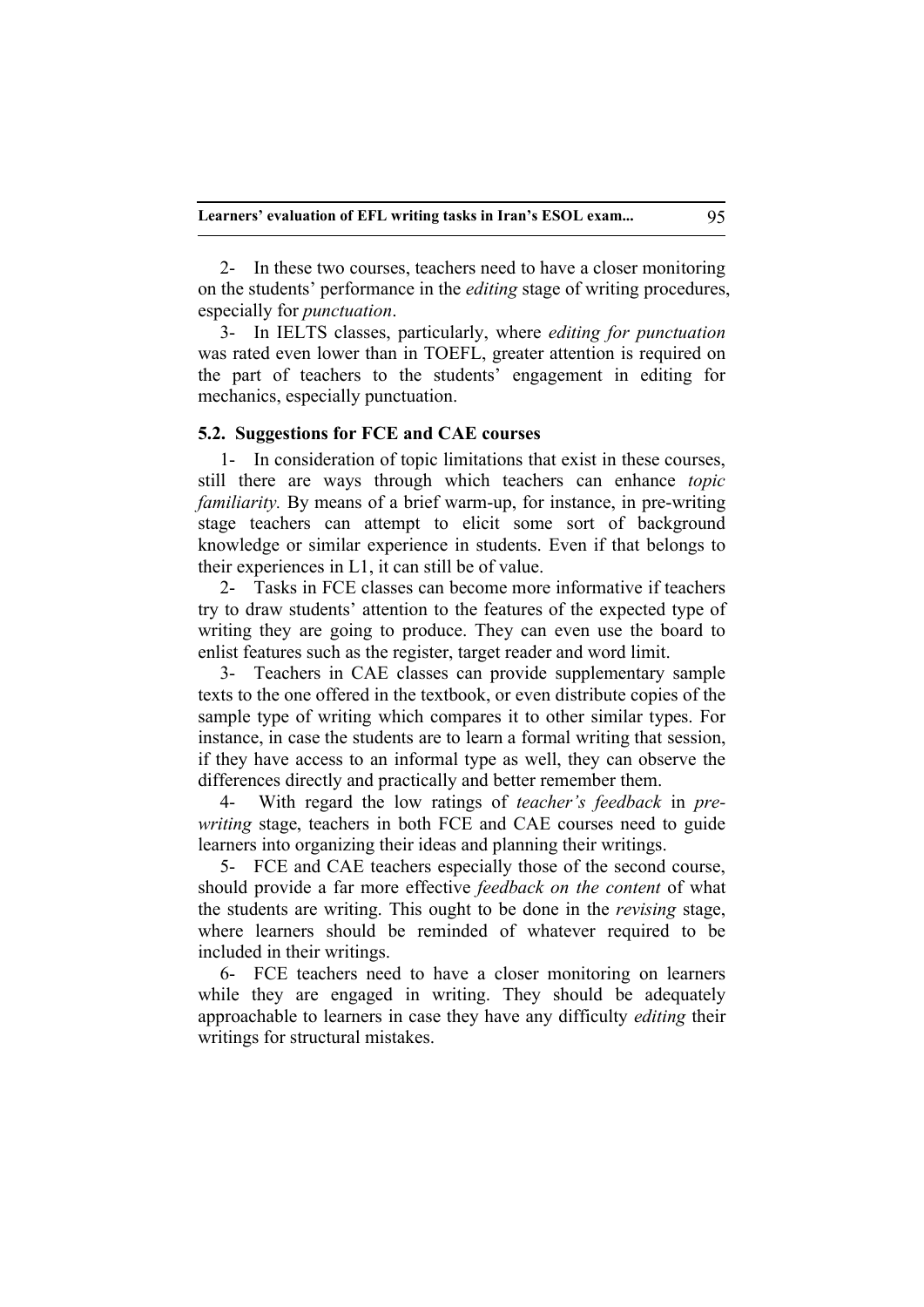2- In these two courses, teachers need to have a closer monitoring on the students' performance in the *editing* stage of writing procedures, especially for *punctuation*.

3- In IELTS classes, particularly, where *editing for punctuation* was rated even lower than in TOEFL, greater attention is required on the part of teachers to the students' engagement in editing for mechanics, especially punctuation.

# **5.2. Suggestions for FCE and CAE courses**

1- In consideration of topic limitations that exist in these courses, still there are ways through which teachers can enhance *topic familiarity.* By means of a brief warm-up, for instance, in pre-writing stage teachers can attempt to elicit some sort of background knowledge or similar experience in students. Even if that belongs to their experiences in L1, it can still be of value.

2- Tasks in FCE classes can become more informative if teachers try to draw students' attention to the features of the expected type of writing they are going to produce. They can even use the board to enlist features such as the register, target reader and word limit.

3- Teachers in CAE classes can provide supplementary sample texts to the one offered in the textbook, or even distribute copies of the sample type of writing which compares it to other similar types. For instance, in case the students are to learn a formal writing that session, if they have access to an informal type as well, they can observe the differences directly and practically and better remember them.

4- With regard the low ratings of *teacher's feedback* in *prewriting* stage, teachers in both FCE and CAE courses need to guide learners into organizing their ideas and planning their writings.

5- FCE and CAE teachers especially those of the second course, should provide a far more effective *feedback on the content* of what the students are writing. This ought to be done in the *revising* stage, where learners should be reminded of whatever required to be included in their writings.

6- FCE teachers need to have a closer monitoring on learners while they are engaged in writing. They should be adequately approachable to learners in case they have any difficulty *editing* their writings for structural mistakes.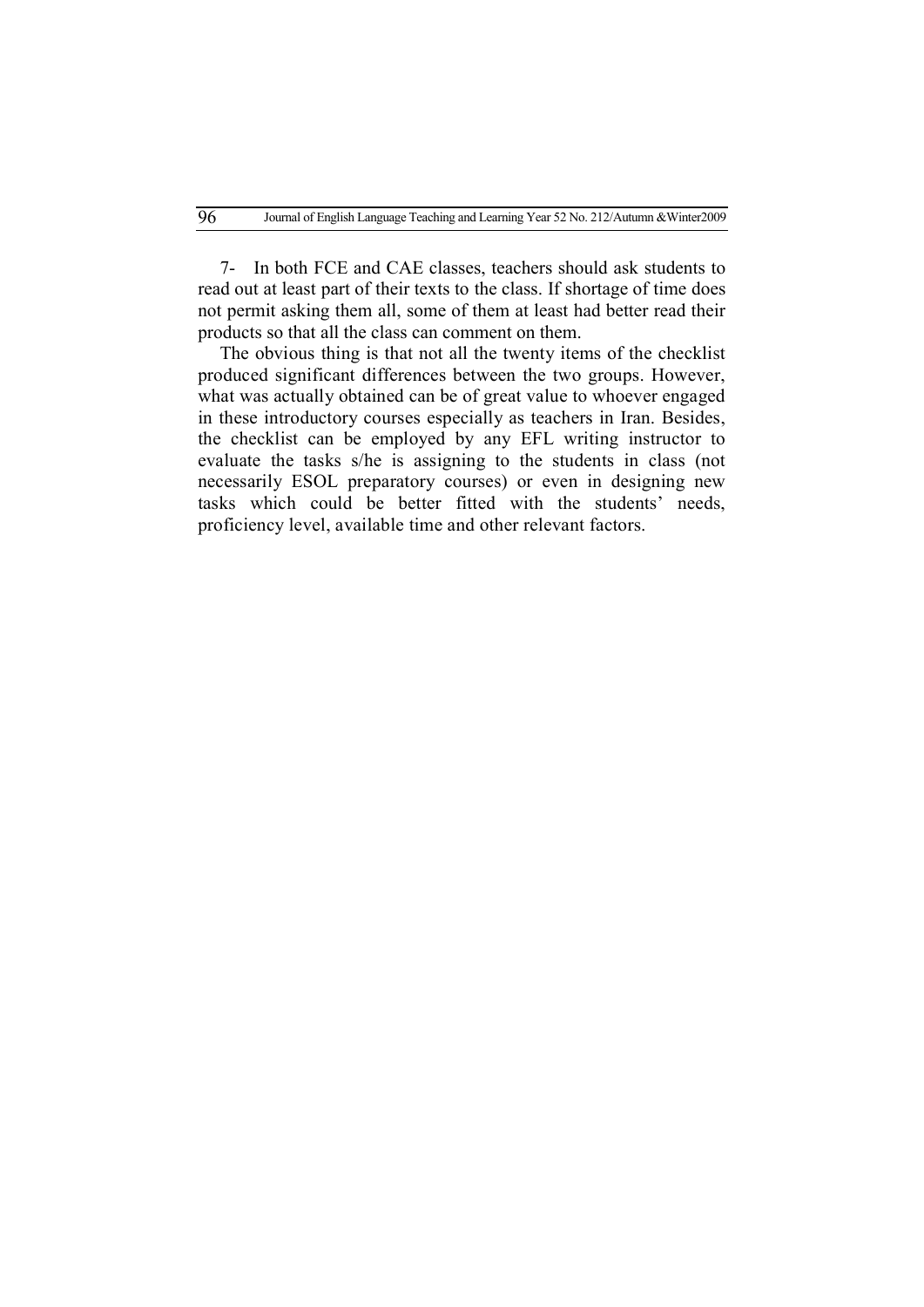7- In both FCE and CAE classes, teachers should ask students to read out at least part of their texts to the class. If shortage of time does not permit asking them all, some of them at least had better read their products so that all the class can comment on them.

The obvious thing is that not all the twenty items of the checklist produced significant differences between the two groups. However, what was actually obtained can be of great value to whoever engaged in these introductory courses especially as teachers in Iran. Besides, the checklist can be employed by any EFL writing instructor to evaluate the tasks s/he is assigning to the students in class (not necessarily ESOL preparatory courses) or even in designing new tasks which could be better fitted with the students' needs, proficiency level, available time and other relevant factors.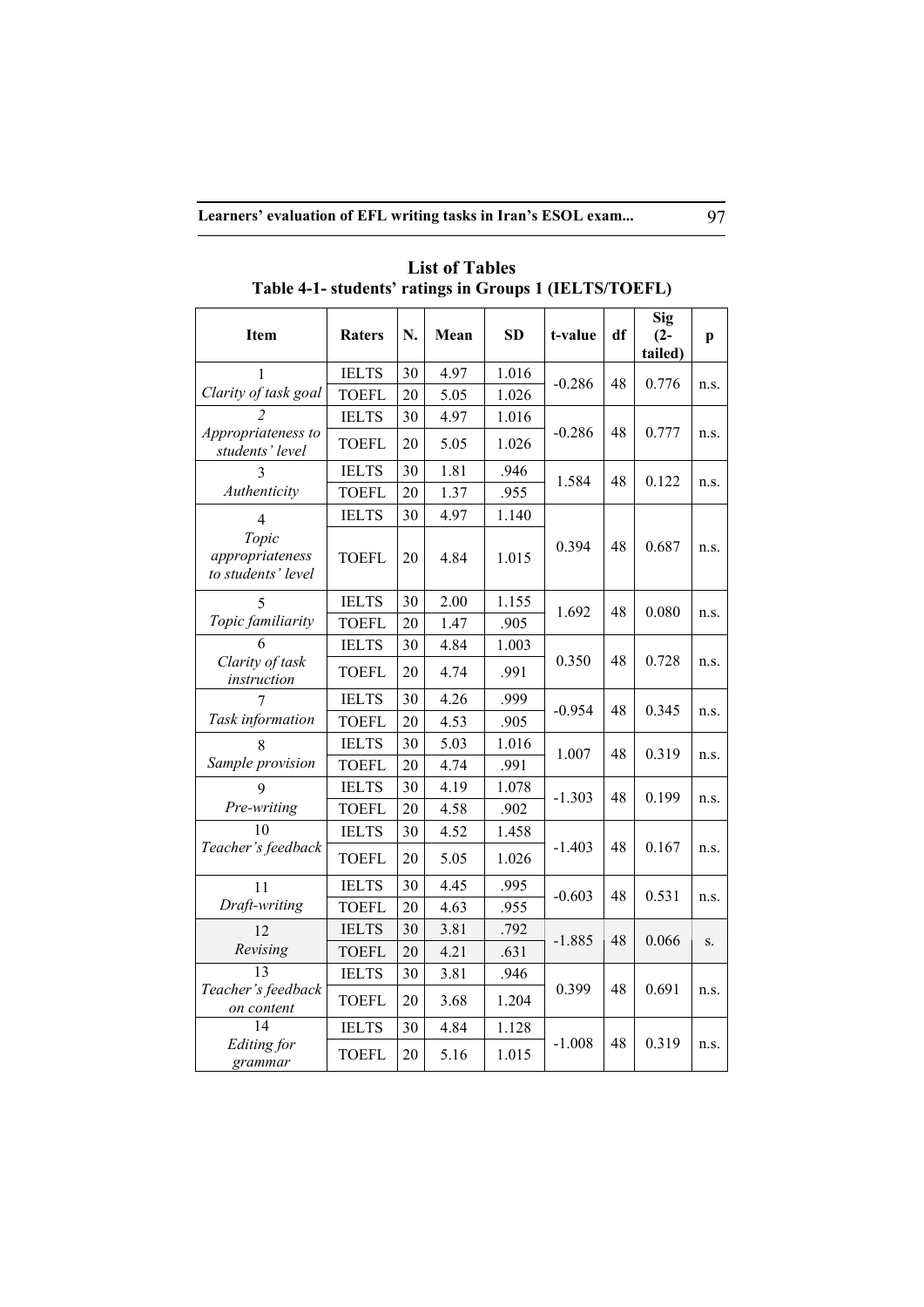| Item                                           | <b>Raters</b> | N. | Mean | <b>SD</b> | t-value  | df | Sig<br>$(2 -$<br>tailed) | p    |
|------------------------------------------------|---------------|----|------|-----------|----------|----|--------------------------|------|
|                                                | <b>IELTS</b>  | 30 | 4.97 | 1.016     | $-0.286$ | 48 | 0.776                    |      |
| Clarity of task goal                           | <b>TOEFL</b>  | 20 | 5.05 | 1.026     |          |    |                          | n.s. |
|                                                | <b>IELTS</b>  | 30 | 4.97 | 1.016     |          |    |                          |      |
| Appropriateness to<br>students' level          | <b>TOEFL</b>  | 20 | 5.05 | 1.026     | $-0.286$ | 48 | 0.777                    | n.s. |
|                                                | <b>IELTS</b>  | 30 | 1.81 | .946      | 1.584    | 48 | 0.122                    | n.S. |
| Authenticity                                   | <b>TOEFL</b>  | 20 | 1.37 | .955      |          |    |                          |      |
| 4                                              | <b>IELTS</b>  | 30 | 4.97 | 1.140     |          |    |                          |      |
| Topic<br>appropriateness<br>to students' level | <b>TOEFL</b>  | 20 | 4.84 | 1.015     | 0.394    | 48 | 0.687                    | n.S. |
|                                                | <b>IELTS</b>  | 30 | 2.00 | 1.155     |          |    |                          | n.s. |
| Topic familiarity                              | <b>TOEFL</b>  | 20 | 1.47 | .905      | 1.692    | 48 | 0.080                    |      |
|                                                | <b>IELTS</b>  | 30 | 4.84 | 1.003     |          | 48 | 0.728                    | n.S. |
| Clarity of task<br>instruction                 | <b>TOEFL</b>  | 20 | 4.74 | .991      | 0.350    |    |                          |      |
|                                                | <b>IELTS</b>  | 30 | 4.26 | .999      | $-0.954$ | 48 | 0.345                    | n.S. |
| Task information                               | <b>TOEFL</b>  | 20 | 4.53 | .905      |          |    |                          |      |
|                                                | <b>IELTS</b>  | 30 | 5.03 | 1.016     | 1.007    | 48 | 0.319                    |      |
| Sample provision                               | <b>TOEFL</b>  | 20 | 4.74 | .991      |          |    |                          | n.s. |
| $\mathbf Q$                                    | <b>IELTS</b>  | 30 | 4.19 | 1.078     | $-1.303$ | 48 | 0.199                    | n.s. |
| Pre-writing                                    | <b>TOEFL</b>  | 20 | 4.58 | .902      |          |    |                          |      |
| 10                                             | <b>IELTS</b>  | 30 | 4.52 | 1.458     |          |    |                          | n.s. |
| Teacher's feedback                             | <b>TOEFL</b>  | 20 | 5.05 | 1.026     | $-1.403$ | 48 | 0.167                    |      |
| 11                                             | <b>IELTS</b>  | 30 | 4.45 | .995      | $-0.603$ | 48 | 0.531                    |      |
| Draft-writing                                  | <b>TOEFL</b>  | 20 | 4.63 | .955      |          |    |                          | n.s. |
| 12                                             | <b>IELTS</b>  | 30 | 3.81 | .792      |          | 48 | 0.066                    |      |
| Revising                                       | <b>TOEFL</b>  | 20 | 4.21 | .631      | -1.885   |    |                          | S.   |
| 13                                             | <b>IELTS</b>  | 30 | 3.81 | .946      |          |    |                          |      |
| Teacher's feedback<br>on content               | <b>TOEFL</b>  | 20 | 3.68 | 1.204     | 0.399    | 48 | 0.691                    | n.s. |
| 14                                             | <b>IELTS</b>  | 30 | 4.84 | 1.128     |          |    |                          |      |
| <b>Editing</b> for<br>grammar                  | <b>TOEFL</b>  | 20 | 5.16 | 1.015     | $-1.008$ | 48 | 0.319                    | n.S. |

**List of Tables Table 4-1- students' ratings in Groups 1 (IELTS/TOEFL)**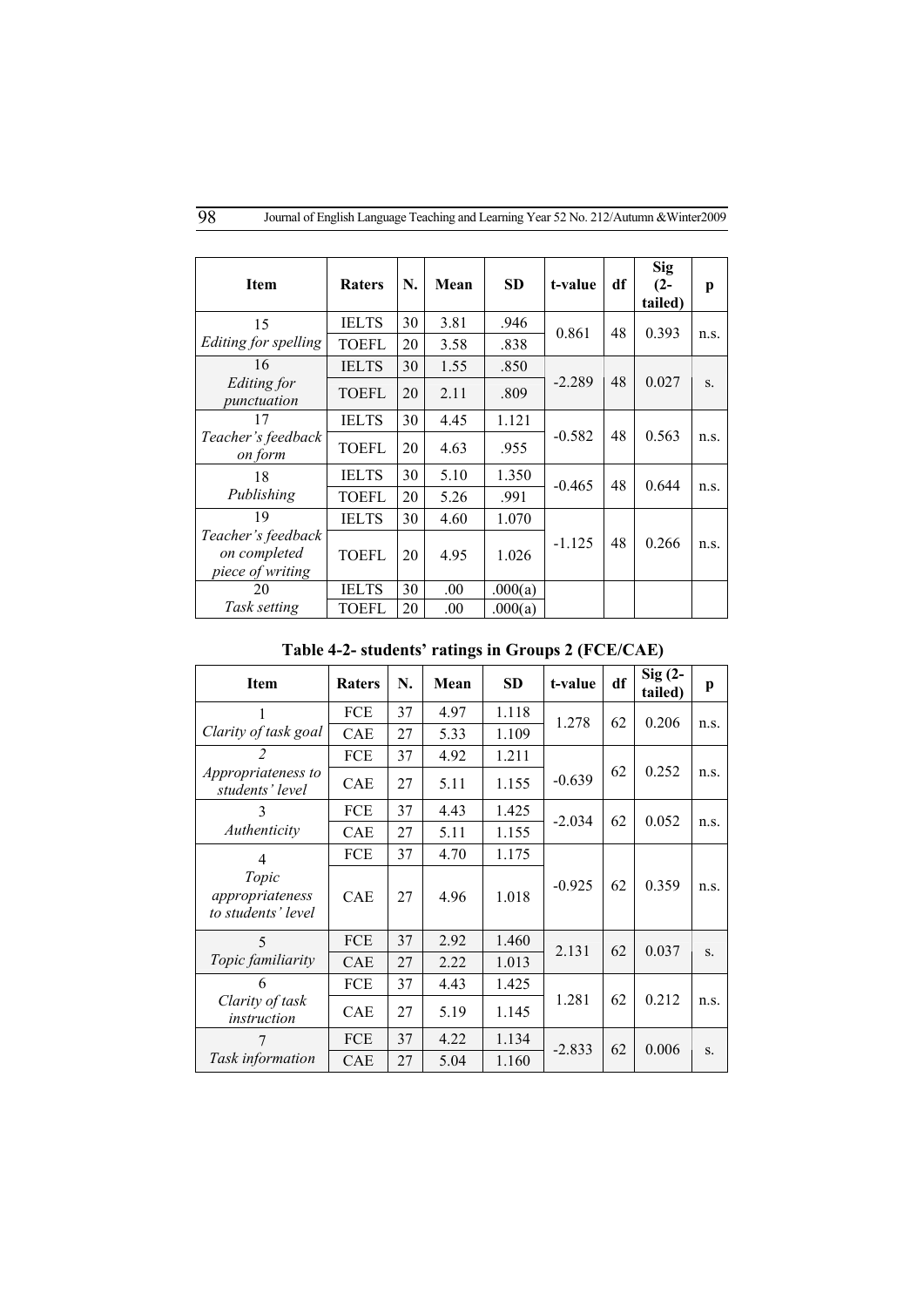| <b>Item</b>                                            | <b>Raters</b> | N. | Mean | <b>SD</b> | t-value  | df | <b>Sig</b><br>$(2 -$<br>tailed) | p    |
|--------------------------------------------------------|---------------|----|------|-----------|----------|----|---------------------------------|------|
| 15                                                     | <b>IELTS</b>  | 30 | 3.81 | .946      | 0.861    | 48 | 0.393                           | n.s. |
| Editing for spelling                                   | <b>TOEFL</b>  | 20 | 3.58 | .838      |          |    |                                 |      |
| 16                                                     | <b>IELTS</b>  | 30 | 1.55 | .850      |          |    |                                 |      |
| Editing for<br>punctuation                             | <b>TOEFL</b>  | 20 | 2.11 | .809      | $-2.289$ | 48 | 0.027                           | S.   |
| 17                                                     | <b>IELTS</b>  | 30 | 4.45 | 1.121     | $-0.582$ | 48 |                                 |      |
| Teacher's feedback<br>on form                          | <b>TOEFL</b>  | 20 | 4.63 | .955      |          |    | 0.563                           | n.S. |
| 18                                                     | <b>IELTS</b>  | 30 | 5.10 | 1.350     | $-0.465$ | 48 | 0.644                           |      |
| Publishing                                             | <b>TOEFL</b>  | 20 | 5.26 | .991      |          |    |                                 | n.s. |
| 19                                                     | <b>IELTS</b>  | 30 | 4.60 | 1.070     |          |    |                                 |      |
| Teacher's feedback<br>on completed<br>piece of writing | <b>TOEFL</b>  | 20 | 4.95 | 1.026     | $-1.125$ | 48 | 0.266                           | n.S. |
| 20                                                     | <b>IELTS</b>  | 30 | .00. | .000(a)   |          |    |                                 |      |
| Task setting                                           | TOEFL         | 20 | .00  | .000(a)   |          |    |                                 |      |

**Table 4-2- students' ratings in Groups 2 (FCE/CAE)**

| <b>Item</b>                                    | <b>Raters</b> | N. | Mean | <b>SD</b> | t-value  | df | $Sig(2 -$<br>tailed) | p    |
|------------------------------------------------|---------------|----|------|-----------|----------|----|----------------------|------|
|                                                | <b>FCE</b>    | 37 | 4.97 | 1.118     | 1.278    | 62 | 0.206                | n.s. |
| Clarity of task goal                           | <b>CAE</b>    | 27 | 5.33 | 1.109     |          |    |                      |      |
| 2                                              | FCE           | 37 | 4.92 | 1.211     |          |    |                      |      |
| Appropriateness to<br>students' level          | <b>CAE</b>    | 27 | 5.11 | 1.155     | $-0.639$ | 62 | 0.252                | n.s. |
| 3                                              | <b>FCE</b>    | 37 | 4.43 | 1.425     | $-2.034$ | 62 | 0.052                | n.S. |
| Authenticity                                   | <b>CAE</b>    | 27 | 5.11 | 1.155     |          |    |                      |      |
| $\overline{4}$                                 | FCE           | 37 | 4.70 | 1.175     |          |    |                      |      |
| Topic<br>appropriateness<br>to students' level | <b>CAE</b>    | 27 | 4.96 | 1.018     | $-0.925$ | 62 | 0.359                | n.S. |
| $\overline{\phantom{0}}$                       | <b>FCE</b>    | 37 | 2.92 | 1.460     | 2.131    | 62 |                      |      |
| Topic familiarity                              | CAE           | 27 | 2.22 | 1.013     |          |    | 0.037                | S.   |
| 6                                              | FCE           | 37 | 4.43 | 1.425     |          |    |                      |      |
| Clarity of task<br>instruction                 | CAE           | 27 | 5.19 | 1.145     | 1.281    | 62 | 0.212                | n.s. |
| 7                                              | FCE           | 37 | 4.22 | 1.134     | $-2.833$ | 62 | 0.006                | S.   |
| Task information                               | <b>CAE</b>    | 27 | 5.04 | 1.160     |          |    |                      |      |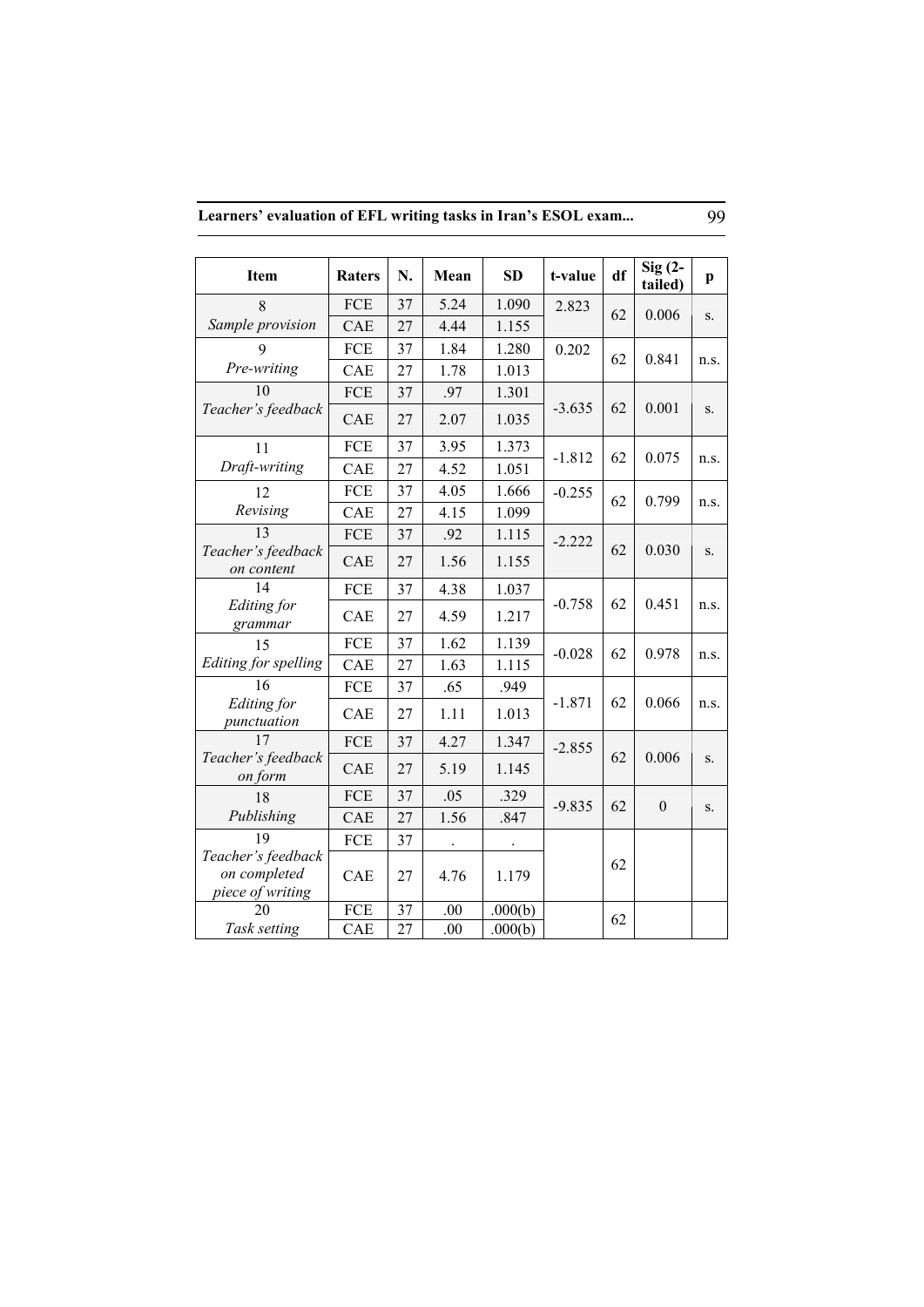| Learners' evaluation of EFL writing tasks in Iran's ESOL exam |  |
|---------------------------------------------------------------|--|
|---------------------------------------------------------------|--|

|                                  |               |    |                      |                      |                |    | $Sig(2 -$        |              |       |      |
|----------------------------------|---------------|----|----------------------|----------------------|----------------|----|------------------|--------------|-------|------|
| <b>Item</b>                      | <b>Raters</b> | N. | Mean                 | <b>SD</b>            | t-value        | df | tailed)          | $\mathbf{p}$ |       |      |
| 8                                | <b>FCE</b>    | 37 | 5.24                 | 1.090                | 2.823          | 62 | 0.006            | S.           |       |      |
| Sample provision                 | CAE           | 27 | 4.44                 | 1.155                |                |    |                  |              |       |      |
| 9                                | FCE           | 37 | 1.84                 | 1.280                | 0.202          |    | 62               | 0.841        |       |      |
| Pre-writing                      | <b>CAE</b>    | 27 | 1.78                 | 1.013                |                |    |                  | n.s.         |       |      |
| 10                               | FCE           | 37 | .97                  | 1.301                |                |    |                  |              |       |      |
| Teacher's feedback               | CAE           | 27 | 2.07                 | 1.035                | $-3.635$       | 62 | 0.001            | S.           |       |      |
| 11                               | FCE           | 37 | 3.95                 | 1.373                | $-1.812$       | 62 | 0.075            |              |       |      |
| Draft-writing                    | CAE           | 27 | 4.52                 | 1.051                |                |    |                  | n.s.         |       |      |
| 12                               | FCE           | 37 | 4.05                 | 1.666                | $-0.255$       | 62 | 0.799            | n.s.         |       |      |
| Revising                         | CAE           | 27 | 4.15                 | 1.099                |                |    |                  |              |       |      |
| 13                               | FCE           | 37 | .92                  | 1.115                | $-2.222$       | 62 |                  |              |       |      |
| Teacher's feedback<br>on content | CAE           | 27 | 1.56                 | 1.155                |                |    | 0.030            | S.           |       |      |
| 14                               | FCE           | 37 | 4.38                 | 1.037                | $-0.758$<br>62 |    | 0.451            | n.s.         |       |      |
| Editing for<br>grammar           | CAE           | 27 | 4.59                 | 1.217                |                |    |                  |              |       |      |
| 15                               | FCE           | 37 | 1.62                 | 1.139                | $-0.028$       | 62 | 0.978            | n.s.         |       |      |
| Editing for spelling             | CAE           | 27 | 1.63                 | 1.115                |                |    |                  |              |       |      |
| 16                               | FCE           | 37 | .65                  | .949                 |                |    |                  |              |       |      |
| Editing for<br>punctuation       | CAE           | 27 | 1.11                 | 1.013                | $-1.871$       |    | 62               |              | 0.066 | n.s. |
| 17                               | FCE           | 37 | 4.27                 | 1.347                | $-2.855$       |    |                  |              |       |      |
| Teacher's feedback<br>on form    | CAE           | 27 | 5.19                 | 1.145                |                | 62 | 0.006            | S.           |       |      |
| 18                               | FCE           | 37 | .05                  | .329                 | $-9.835$       | 62 | $\boldsymbol{0}$ | S.           |       |      |
| Publishing                       | <b>CAE</b>    | 27 | 1.56                 | .847                 |                |    |                  |              |       |      |
| 19                               | FCE           | 37 | $\ddot{\phantom{0}}$ | $\ddot{\phantom{0}}$ |                |    |                  |              |       |      |
| Teacher's feedback               |               |    |                      |                      |                | 62 |                  |              |       |      |
| on completed<br>piece of writing | CAE           | 27 | 4.76                 | 1.179                |                |    |                  |              |       |      |
| 20                               | FCE           | 37 | .00                  | .000(b)              |                |    |                  |              |       |      |
| Task setting                     | CAE           | 27 | .00                  | .000(b)              |                | 62 |                  |              |       |      |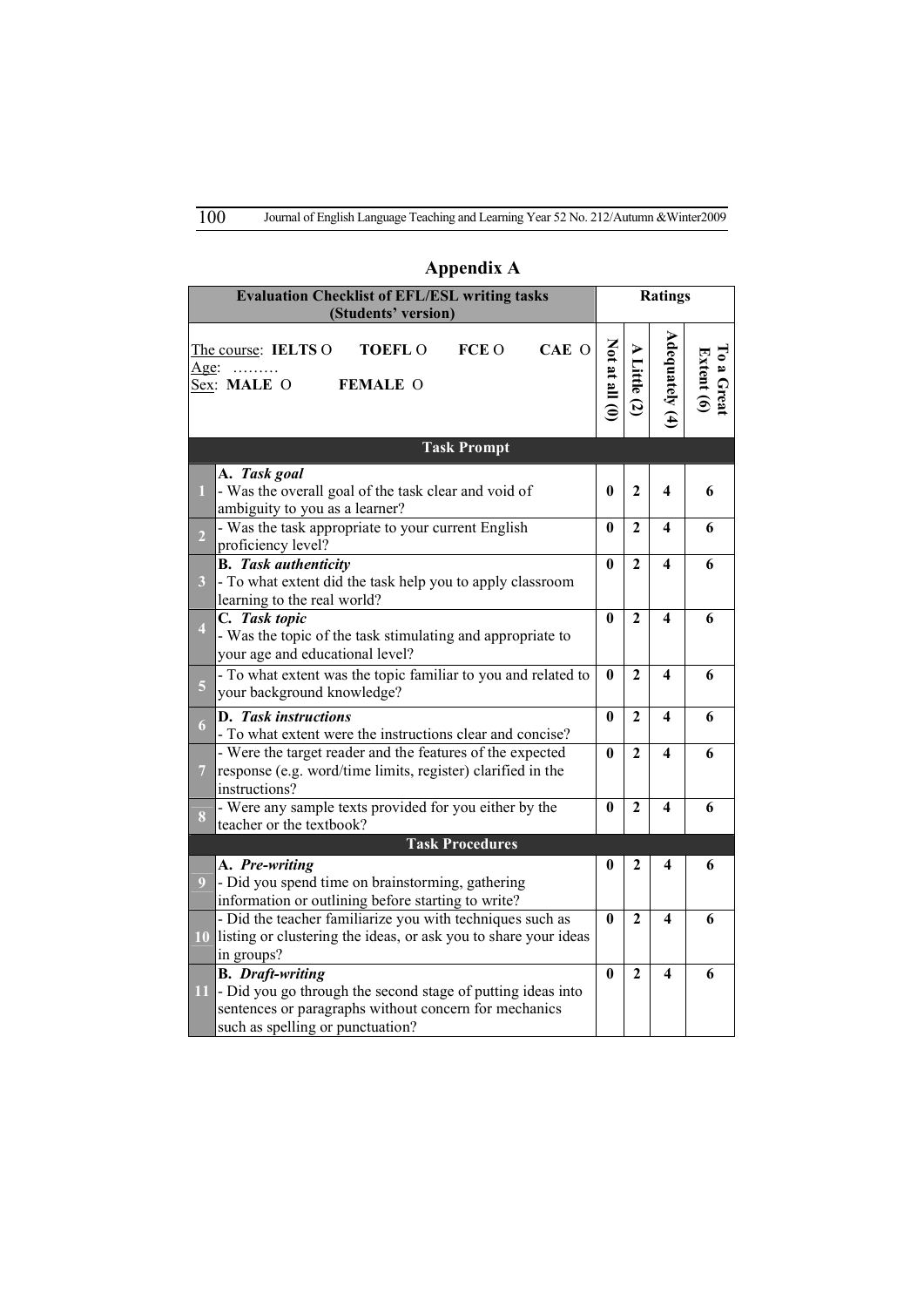|                         | <b>Evaluation Checklist of EFL/ESL writing tasks</b><br>(Students' version)                                                                                                         | <b>Ratings</b>     |                                         |                  |                          |
|-------------------------|-------------------------------------------------------------------------------------------------------------------------------------------------------------------------------------|--------------------|-----------------------------------------|------------------|--------------------------|
| Age:                    | CAE O<br>FCE O<br><b>TOEFLO</b><br>The course: IELTS O<br>Sex: MALE O<br><b>FEMALE O</b>                                                                                            | $Not$ at all $(0)$ | <b>A</b> Little<br>$\tilde{\mathbf{c}}$ | Adequately $(4)$ | To a Great<br>Extent (6) |
|                         | <b>Task Prompt</b>                                                                                                                                                                  |                    |                                         |                  |                          |
| 1                       | A. Task goal<br>- Was the overall goal of the task clear and void of<br>ambiguity to you as a learner?                                                                              | 0                  | $\mathbf{2}$                            | 4                | 6                        |
| $\overline{2}$          | - Was the task appropriate to your current English<br>proficiency level?                                                                                                            | 0                  | $\mathbf{2}$                            | 4                | 6                        |
| $\overline{\mathbf{3}}$ | <b>B.</b> Task authenticity<br>- To what extent did the task help you to apply classroom<br>learning to the real world?                                                             | 0                  | $\mathbf{2}$                            | 4                | 6                        |
| $\overline{\mathbf{4}}$ | C. Task topic<br>- Was the topic of the task stimulating and appropriate to<br>your age and educational level?                                                                      | $\mathbf{0}$       | $\mathbf{2}$                            | 4                | 6                        |
| $\overline{\mathbf{5}}$ | - To what extent was the topic familiar to you and related to<br>your background knowledge?                                                                                         | 0                  | $\mathbf{2}$                            | 4                | 6                        |
| 6                       | D. Task instructions<br>- To what extent were the instructions clear and concise?                                                                                                   | $\bf{0}$           | $\mathbf{2}$                            | 4                | 6                        |
| $\overline{7}$          | - Were the target reader and the features of the expected<br>response (e.g. word/time limits, register) clarified in the<br>instructions?                                           | $\mathbf{0}$       | $\overline{2}$                          | 4                | 6                        |
| 8                       | - Were any sample texts provided for you either by the<br>teacher or the textbook?                                                                                                  | $\mathbf{0}$       | $\mathbf{2}$                            | 4                | 6                        |
|                         | <b>Task Procedures</b>                                                                                                                                                              |                    |                                         |                  |                          |
| $\overline{9}$          | A. Pre-writing<br>- Did you spend time on brainstorming, gathering<br>information or outlining before starting to write?                                                            | 0                  | 2                                       | 4                | 6                        |
| 10                      | - Did the teacher familiarize you with techniques such as<br>listing or clustering the ideas, or ask you to share your ideas<br>in groups?                                          | $\bf{0}$           | 2                                       | 4                | 6                        |
| 11                      | <b>B.</b> Draft-writing<br>- Did you go through the second stage of putting ideas into<br>sentences or paragraphs without concern for mechanics<br>such as spelling or punctuation? | 0                  | $\mathbf{2}$                            | 4                | 6                        |

# **Appendix A**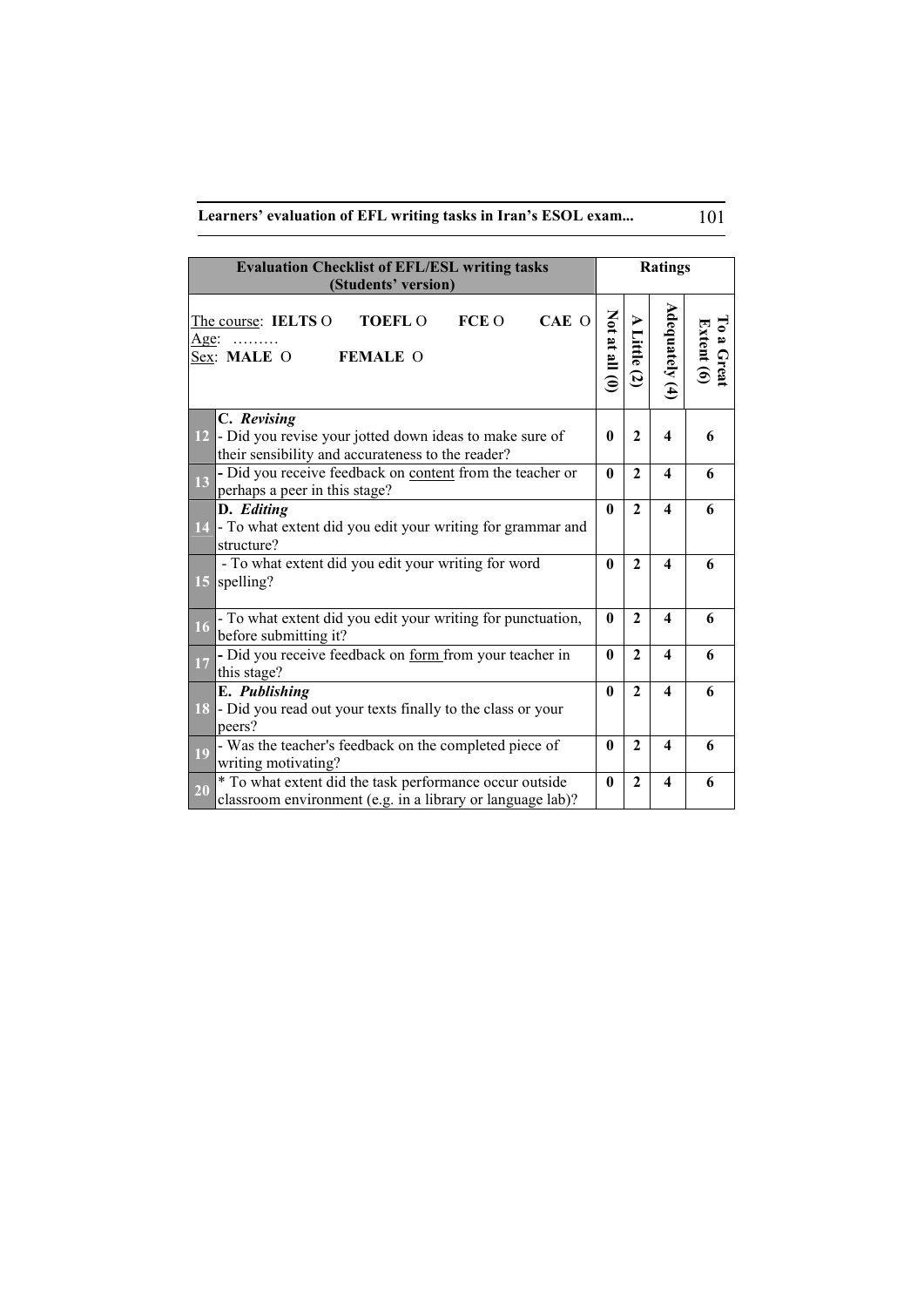**Learners' evaluation of EFL writing tasks in Iran's ESOL exam...** 101

| <b>Evaluation Checklist of EFL/ESL writing tasks</b><br>(Students' version)                                                    |                              |                           | <b>Ratings</b>          |                                         |
|--------------------------------------------------------------------------------------------------------------------------------|------------------------------|---------------------------|-------------------------|-----------------------------------------|
| FCE O<br>CAE O<br>The course: IELTS O<br><b>TOEFL O</b><br>Age:<br>.<br>Sex: MALE O<br><b>FEMALE O</b>                         | $\sin \sin \left( 0 \right)$ | ⋗<br>Little<br>$\ddot{2}$ | Adequately $(4)$        | $\mathbf{L}$<br>Extent $(6)$<br>a Great |
| C. Revising<br>12 - Did you revise your jotted down ideas to make sure of<br>their sensibility and accurateness to the reader? | $\mathbf{0}$                 | $\mathbf{2}$              | $\overline{\mathbf{4}}$ | 6                                       |
| - Did you receive feedback on content from the teacher or<br>$\overline{13}$<br>perhaps a peer in this stage?                  | $\mathbf{0}$                 | $\mathbf{2}$              | $\overline{\mathbf{4}}$ | 6                                       |
| D. Editing<br>14 - To what extent did you edit your writing for grammar and<br>structure?                                      | $\mathbf{0}$                 | $\mathbf{2}$              | $\boldsymbol{4}$        | 6                                       |
| - To what extent did you edit your writing for word<br>15 spelling?                                                            | $\mathbf{0}$                 | $\mathbf{2}$              | $\overline{\mathbf{4}}$ | 6                                       |
| - To what extent did you edit your writing for punctuation,<br>16<br>before submitting it?                                     | 0                            | $\mathbf{2}$              | $\overline{\mathbf{4}}$ | 6                                       |
| - Did you receive feedback on form from your teacher in<br>17<br>this stage?                                                   | $\mathbf{0}$                 | $\mathbf{2}$              | $\boldsymbol{4}$        | 6                                       |
| E. Publishing<br>18 - Did you read out your texts finally to the class or your<br>peers?                                       | 0                            | $\mathbf{2}$              | $\boldsymbol{4}$        | 6                                       |
| - Was the teacher's feedback on the completed piece of<br>19<br>writing motivating?                                            | $\mathbf{0}$                 | $\mathbf{2}$              | $\overline{\mathbf{4}}$ | 6                                       |
| * To what extent did the task performance occur outside<br>20<br>classroom environment (e.g. in a library or language lab)?    | $\mathbf{0}$                 | $\mathbf{2}$              | $\boldsymbol{4}$        | 6                                       |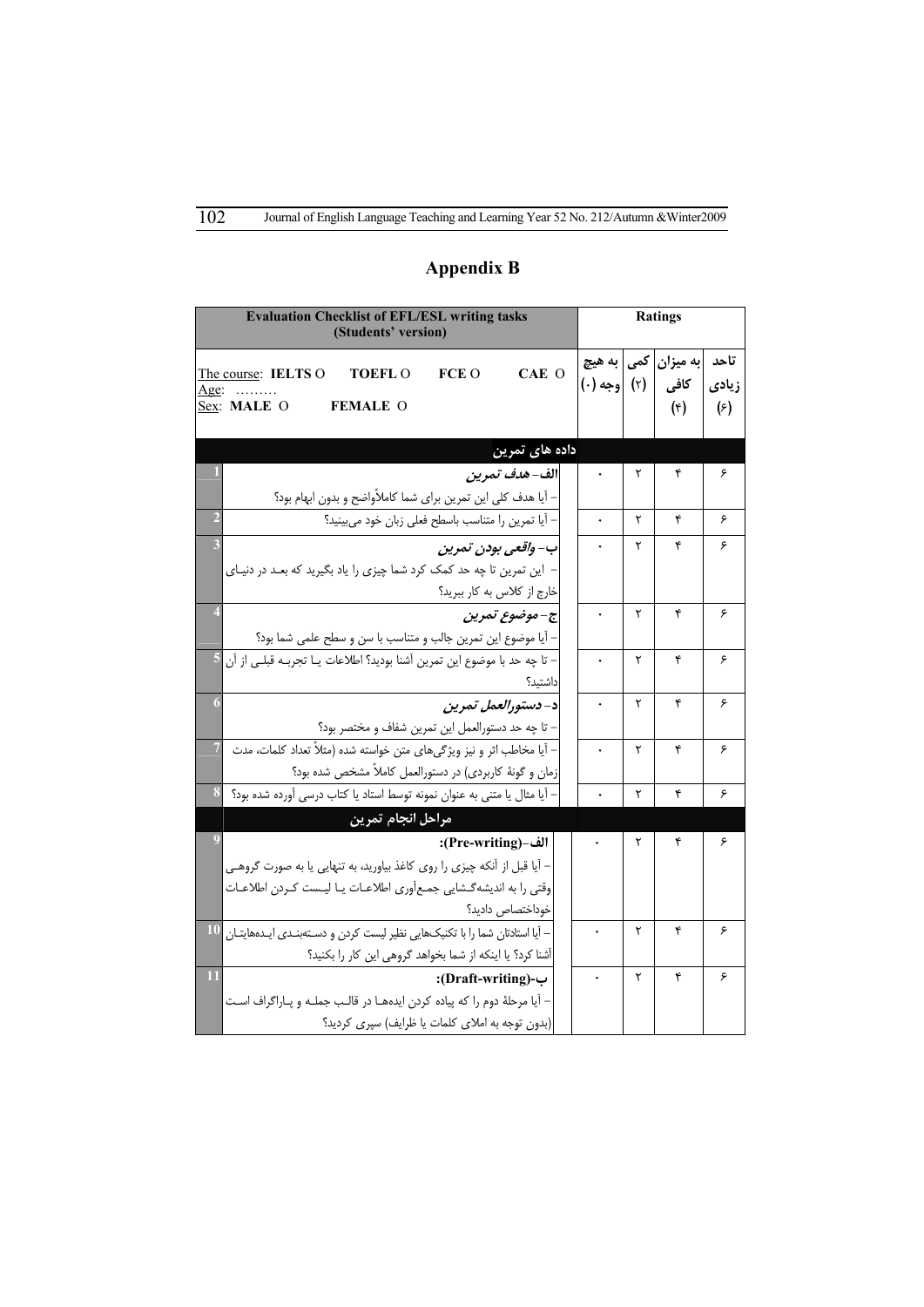|                | <b>Evaluation Checklist of EFL/ESL writing tasks</b><br>(Students' version)                                                       |              |   | <b>Ratings</b>                        |                               |
|----------------|-----------------------------------------------------------------------------------------------------------------------------------|--------------|---|---------------------------------------|-------------------------------|
|                | CAE O<br><b>FCE O</b><br>The course: IELTS O<br><b>TOEFL O</b><br><u>Age:</u><br>Sex: MALE O<br><b>FEMALE O</b>                   | (۲) [وجه (۰) |   | به میزان  کمی به هیچ<br>كافي<br>$(*)$ | تاحد<br>زيادى<br>$(\epsilon)$ |
|                | داده های تمرین                                                                                                                    |              |   |                                       |                               |
|                | الف- <i>هدف تمرين</i><br>- آیا هدف کلی این تمرین برای شما کاملأواضح و بدون ابهام بود؟                                             |              | ٢ | ۴                                     | ۶                             |
| $\overline{2}$ | - آيا تمرين را متناسب باسطح فعلى زبان خود مى بينيد؟                                                                               |              | ۲ | ۴                                     | ۶                             |
|                | ب– واقعی بودن تمرین<br>- این تمرین تا چه حد کمک کرد شما چیزی را یاد بگیرید که بعـد در دنیـای<br>خارج از كلاس به كار ببريد؟        |              | ٢ | ۴                                     | ۶                             |
|                | ج-موضوع تمرين<br>– آیا موضوع این تمرین جالب و متناسب با سن و سطح علمی شما بود؟                                                    |              | ٢ | ۴                                     | ۶                             |
|                | - تا چه حد با موضوع این تمرین آشنا بودید؟ اطلاعات یــا تجربــه قبلــی از آن <mark>5</mark><br>داشتىد؟                             |              | ٢ | ۴                                     | ۶                             |
|                | د- دستورالعمل تمرين<br>– تا چه حد دستورالعمل این تمرین شفاف و مختصر بود؟                                                          |              | ۲ | ۴                                     | ۶                             |
| $\overline{7}$ | – آیا مخاطب اثر و نیز ویژگیهای متن خواسته شده (مثلاً تعداد کلمات، مدت<br>زمان و گونهٔ کاربردی) در دستورالعمل کاملاً مشخص شده بود؟ |              | ٢ | ۴                                     | ۶                             |
| 8              | – آیا مثال یا متنی به عنوان نمونه توسط استاد یا کتاب درسی آورده شده بود؟                                                          |              | ٢ | ۴                                     | ۶                             |
|                | مراحل انجام تمرين                                                                                                                 |              |   |                                       |                               |
|                | الف-(Pre-writing):                                                                                                                |              | ٢ | ۴                                     | ۶                             |
|                | – آیا قبل از آنکه چیزی را روی کاغذ بیاورید، به تنهایی یا به صورت گروهـی                                                           |              |   |                                       |                               |
|                | وقتی را به اندیشهگشایی جمعآوری اطلاعـات یـا لیـست کـردن اطلاعـات<br>خوداختصاص داديد؟                                              |              |   |                                       |                               |
|                | - آیا استادتان شما را با تکنیکهایی نظیر لیست کردن و دستهبندی ایـدههایتـان                                                         |              | ٢ | ۴                                     | ۶                             |
|                | آشنا کرد؟ یا اینکه از شما بخواهد گروهی این کار را بکنید؟                                                                          |              |   |                                       |                               |
|                | ب-(Draft-writing):                                                                                                                |              | ٢ | ۴                                     | ۶                             |
|                | – آيا مرحلهٔ دوم را كه پياده كردن ايدههـا در قالـب جملـه و پـاراگراف اسـت                                                         |              |   |                                       |                               |
|                | (بدون توجه به املای کلمات یا ظرایف) سپری کردید؟                                                                                   |              |   |                                       |                               |

# **Appendix B**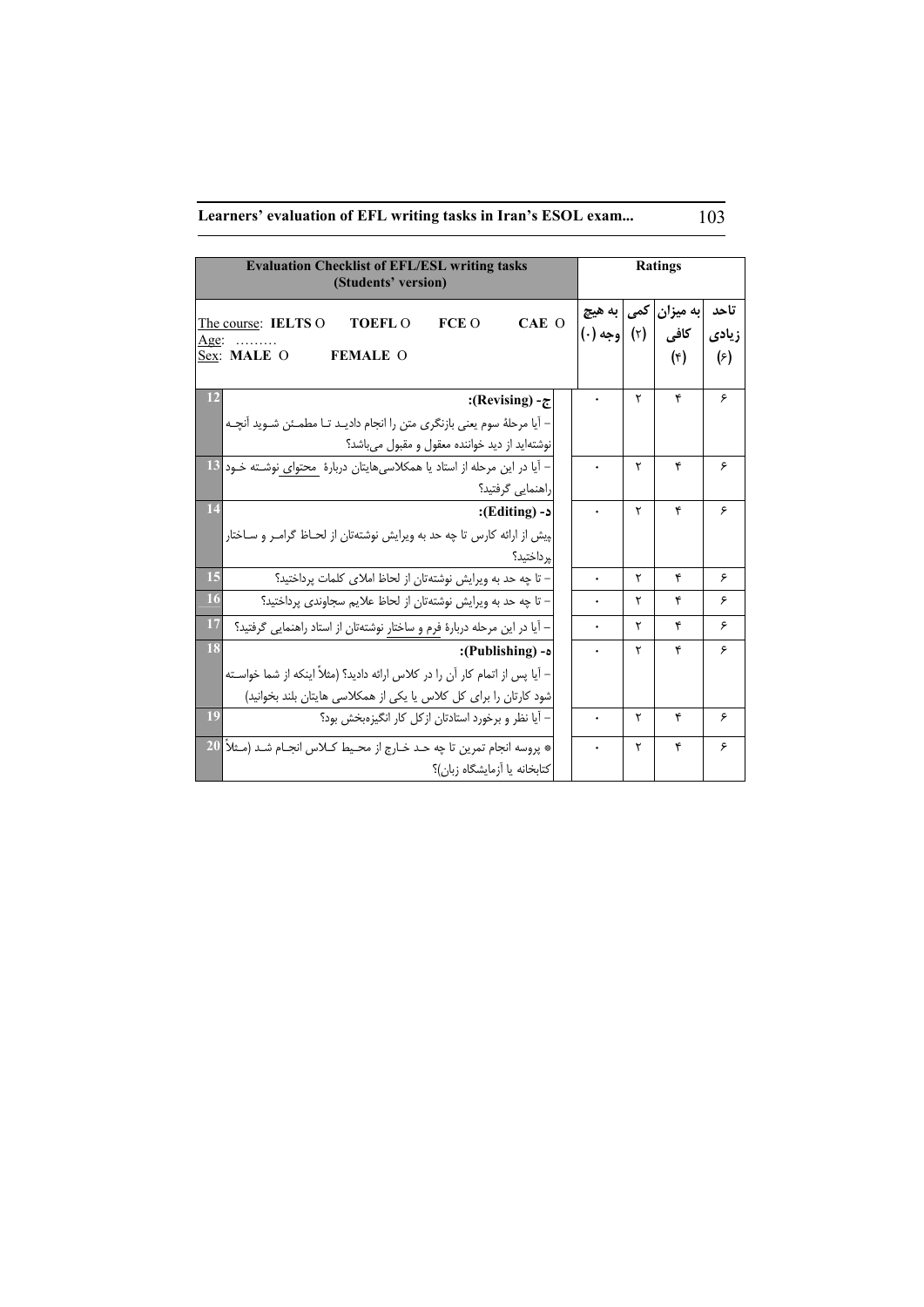# **Learners' evaluation of EFL writing tasks in Iran's ESOL exam...** 103

| <b>Evaluation Checklist of EFL/ESL writing tasks</b><br>(Students' version)                                                                                                 |                        |     | <b>Ratings</b>            |                               |
|-----------------------------------------------------------------------------------------------------------------------------------------------------------------------------|------------------------|-----|---------------------------|-------------------------------|
| CAE O<br>FCE O<br>The course: IELTS O<br><b>TOEFL O</b><br>Age:<br>Sex: MALE O<br><b>FEMALE O</b>                                                                           | به هیچ<br>(۲) اوجه (۰) | کمی | به میزان<br>كافي<br>$(*)$ | تاحد<br>زيادى<br>$(\epsilon)$ |
| 12<br>:(Revising) - $\tau$<br>– آیا مرحلهٔ سوم یعنی بازنگری متن را انجام دادیـد تـا مطمـئن شـوید آنچـه<br>نوشتهاید از دید خواننده معقول و مقبول میباشد؟                     |                        | ۲   | ۴                         | ۶                             |
| – آیا در این مرحله از استاد یا همکلاسیهایتان دربارهٔ  محتوای نوشـته خـود 13<br>راهنمایی گرفتید؟                                                                             |                        | ۲   | ۴                         | ۶                             |
| 14<br>د- (Editing):<br>پیش از ارائه کارس تا چه حد به ویرایش نوشتهتان از لحـاظ گرامـر و سـاختار  <br>پرداختيد؟                                                               |                        | ۲   | ۴                         | ۶                             |
| 15<br>- تا چه حد به ویرایش نوشتهتان از لحاظ املای کلمات پرداختید؟                                                                                                           |                        | ٢   | ۴                         | ۶                             |
| 16<br>– تا چه حد به ویرایش نوشتهتان از لحاظ علایم سجاوندی پرداختید؟                                                                                                         |                        | ۲   | ۴                         | ۶                             |
| 17<br>– آیا در این مرحله دربارهٔ فرم و ساختار نوشتهتان از استاد راهنمایی گرفتید؟                                                                                            |                        | ۲   | ۴                         | ۶                             |
| 18<br>ه- (Publishing):<br>– آیا پس از اتمام کار آن را در کلاس ارائه دادید؟ (مثلاً اینکه از شما خواسـته<br>شود کارتان را برای کل کلاس یا یکی از همکلاسی هایتان بلند بخوانید) |                        | ۲   | ۴                         | ۶                             |
| 19<br>– آیا نظر و برخورد استادتان از کل کار انگیزهبخش بود؟                                                                                                                  |                        | ۲   | ۴                         | ۶                             |
| 20<br>* پروسه انجام تمرین تا چه حـد خـارج از محـیط کــلاس انجــام شــد (مــثلاً  <br>كتابخانه يا أزمايشگاه زبان)؟                                                           |                        | ۲   | ۴                         | ۶                             |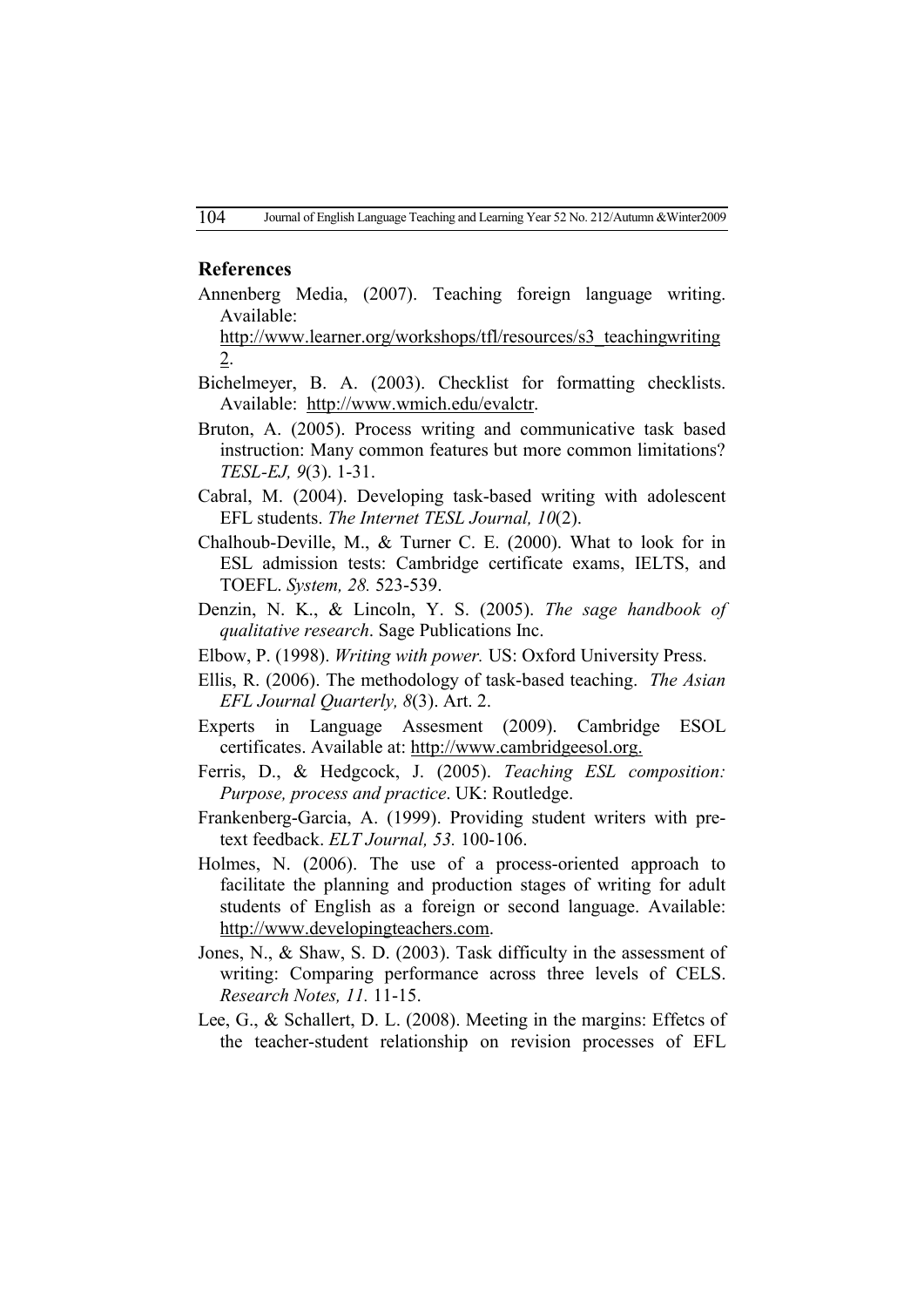## **References**

Annenberg Media, (2007). Teaching foreign language writing. Available:

http://www.learner.org/workshops/tfl/resources/s3\_teachingwriting 2.

- Bichelmeyer, B. A. (2003). Checklist for formatting checklists. Available: http://www.wmich.edu/evalctr.
- Bruton, A. (2005). Process writing and communicative task based instruction: Many common features but more common limitations? *TESL-EJ, 9*(3). 1-31.
- Cabral, M. (2004). Developing task-based writing with adolescent EFL students. *The Internet TESL Journal, 10*(2).
- Chalhoub-Deville, M., & Turner C. E. (2000). What to look for in ESL admission tests: Cambridge certificate exams, IELTS, and TOEFL. *System, 28.* 523-539.
- Denzin, N. K., & Lincoln, Y. S. (2005). *The sage handbook of qualitative research*. Sage Publications Inc.
- Elbow, P. (1998). *Writing with power.* US: Oxford University Press.
- Ellis, R. (2006). The methodology of task-based teaching. *The Asian EFL Journal Quarterly, 8*(3). Art. 2.
- Experts in Language Assesment (2009). Cambridge ESOL certificates. Available at: http://www.cambridgeesol.org.
- Ferris, D., & Hedgcock, J. (2005). *Teaching ESL composition: Purpose, process and practice*. UK: Routledge.
- Frankenberg-Garcia, A. (1999). Providing student writers with pretext feedback. *ELT Journal, 53.* 100-106.
- Holmes, N. (2006). The use of a process-oriented approach to facilitate the planning and production stages of writing for adult students of English as a foreign or second language. Available: http://www.developingteachers.com.
- Jones, N., & Shaw, S. D. (2003). Task difficulty in the assessment of writing: Comparing performance across three levels of CELS. *Research Notes, 11.* 11-15.
- Lee, G., & Schallert, D. L. (2008). Meeting in the margins: Effetcs of the teacher-student relationship on revision processes of EFL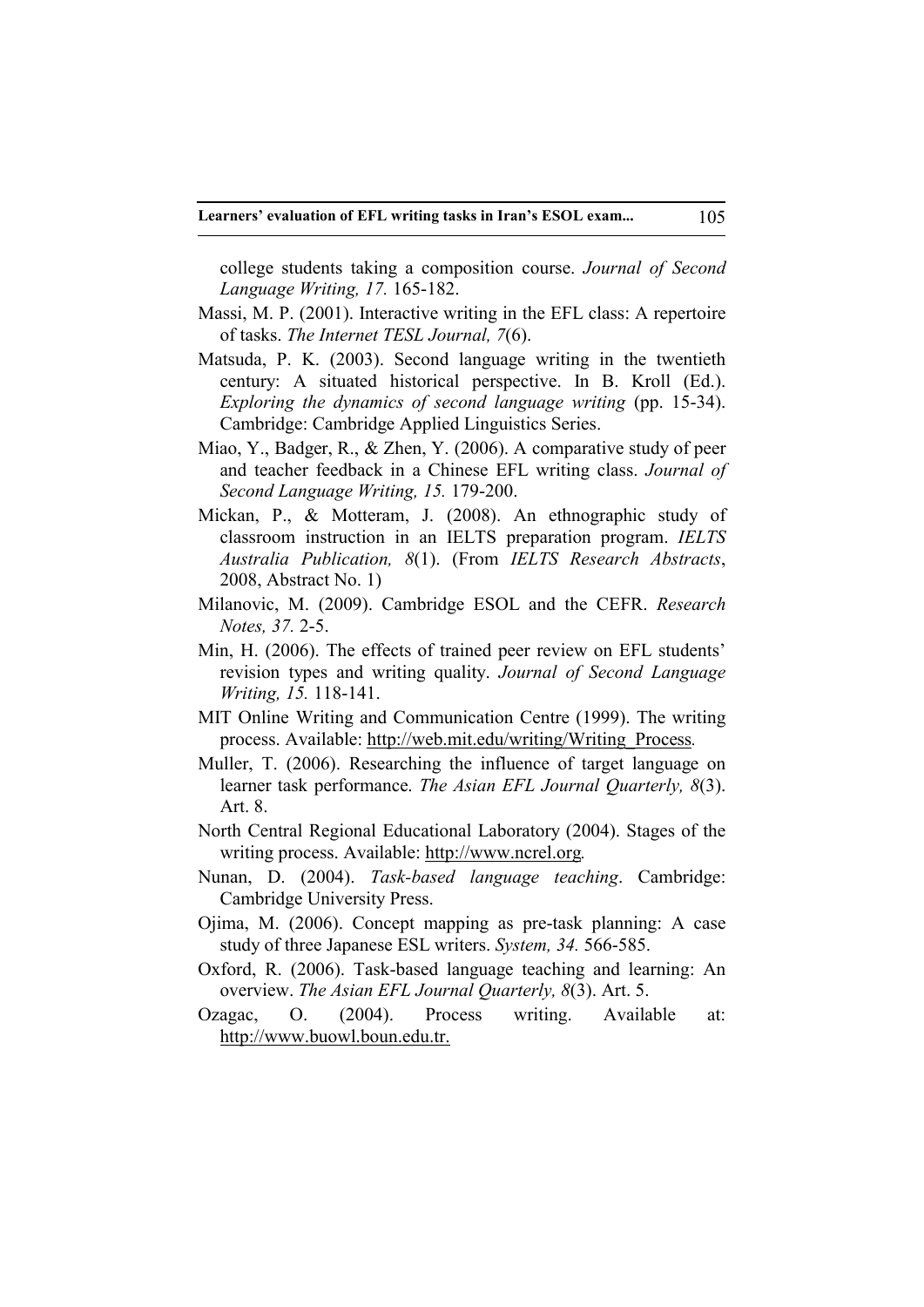college students taking a composition course. *Journal of Second Language Writing, 17.* 165-182.

- Massi, M. P. (2001). Interactive writing in the EFL class: A repertoire of tasks. *The Internet TESL Journal, 7*(6).
- Matsuda, P. K. (2003). Second language writing in the twentieth century: A situated historical perspective. In B. Kroll (Ed.). *Exploring the dynamics of second language writing (pp. 15-34).* Cambridge: Cambridge Applied Linguistics Series.
- Miao, Y., Badger, R., & Zhen, Y. (2006). A comparative study of peer and teacher feedback in a Chinese EFL writing class. *Journal of Second Language Writing, 15.* 179-200.
- Mickan, P., & Motteram, J. (2008). An ethnographic study of classroom instruction in an IELTS preparation program. *IELTS Australia Publication, 8*(1). (From *IELTS Research Abstracts*, 2008, Abstract No. 1)
- Milanovic, M. (2009). Cambridge ESOL and the CEFR. *Research Notes, 37.* 2-5.
- Min, H. (2006). The effects of trained peer review on EFL students' revision types and writing quality. *Journal of Second Language Writing, 15.* 118-141.
- MIT Online Writing and Communication Centre (1999). The writing process. Available: http://web.mit.edu/writing/Writing\_Process*.*
- Muller, T. (2006). Researching the influence of target language on learner task performance. *The Asian EFL Journal Quarterly, 8*(3). Art. 8.
- North Central Regional Educational Laboratory (2004). Stages of the writing process. Available: http://www.ncrel.org*.*
- Nunan, D. (2004). *Task-based language teaching*. Cambridge: Cambridge University Press.
- Ojima, M. (2006). Concept mapping as pre-task planning: A case study of three Japanese ESL writers. *System, 34.* 566-585.
- Oxford, R. (2006). Task-based language teaching and learning: An overview. *The Asian EFL Journal Quarterly, 8*(3). Art. 5.
- Ozagac, O. (2004). Process writing. Available at: http://www.buowl.boun.edu.tr.